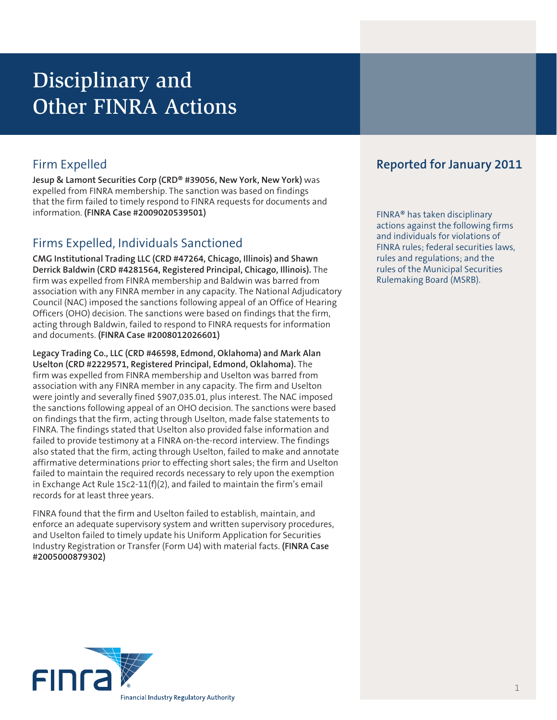# Disciplinary and Other FINRA Actions

**Jesup & Lamont Securities Corp (CRD® #39056, New York, New York)** was expelled from FINRA membership. The sanction was based on findings that the firm failed to timely respond to FINRA requests for documents and information. **(FINRA Case #2009020539501)**

# Firms Expelled, Individuals Sanctioned

**CMG Institutional Trading LLC (CRD #47264, Chicago, Illinois) and Shawn Derrick Baldwin (CRD #4281564, Registered Principal, Chicago, Illinois).** The firm was expelled from FINRA membership and Baldwin was barred from association with any FINRA member in any capacity. The National Adjudicatory Council (NAC) imposed the sanctions following appeal of an Office of Hearing Officers (OHO) decision. The sanctions were based on findings that the firm, acting through Baldwin, failed to respond to FINRA requests for information and documents. **(FINRA Case #2008012026601)** 

**Legacy Trading Co., LLC (CRD #46598, Edmond, Oklahoma) and Mark Alan Uselton (CRD #2229571, Registered Principal, Edmond, Oklahoma).** The firm was expelled from FINRA membership and Uselton was barred from association with any FINRA member in any capacity. The firm and Uselton were jointly and severally fined \$907,035.01, plus interest. The NAC imposed the sanctions following appeal of an OHO decision. The sanctions were based on findings that the firm, acting through Uselton, made false statements to FINRA. The findings stated that Uselton also provided false information and failed to provide testimony at a FINRA on-the-record interview. The findings also stated that the firm, acting through Uselton, failed to make and annotate affirmative determinations prior to effecting short sales; the firm and Uselton failed to maintain the required records necessary to rely upon the exemption in Exchange Act Rule 15c2-11(f)(2), and failed to maintain the firm's email records for at least three years.

FINRA found that the firm and Uselton failed to establish, maintain, and enforce an adequate supervisory system and written supervisory procedures, and Uselton failed to timely update his Uniform Application for Securities Industry Registration or Transfer (Form U4) with material facts. **(FINRA Case #2005000879302)** 

# Firm Expelled **Reported for January 2011**

FINRA® has taken disciplinary actions against the following firms and individuals for violations of FINRA rules; federal securities laws, rules and regulations; and the rules of the Municipal Securities Rulemaking Board (MSRB).

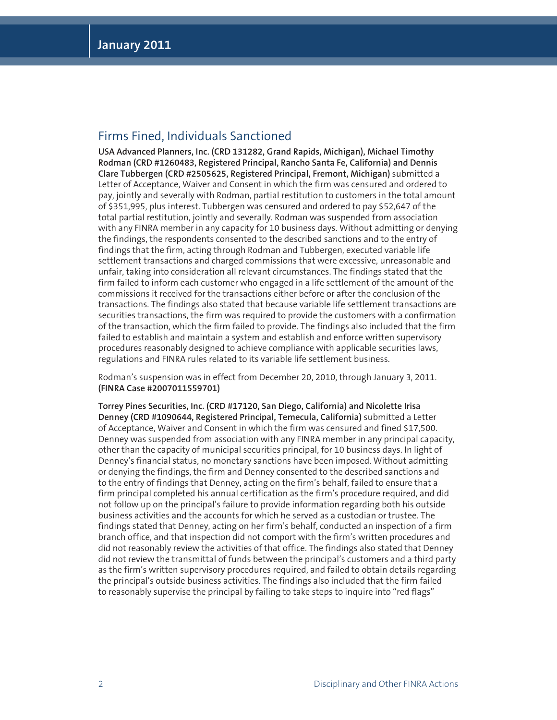#### Firms Fined, Individuals Sanctioned

**USA Advanced Planners, Inc. (CRD 131282, Grand Rapids, Michigan), Michael Timothy Rodman (CRD #1260483, Registered Principal, Rancho Santa Fe, California) and Dennis Clare Tubbergen (CRD #2505625, Registered Principal, Fremont, Michigan)** submitted a Letter of Acceptance, Waiver and Consent in which the firm was censured and ordered to pay, jointly and severally with Rodman, partial restitution to customers in the total amount of \$351,995, plus interest. Tubbergen was censured and ordered to pay \$52,647 of the total partial restitution, jointly and severally. Rodman was suspended from association with any FINRA member in any capacity for 10 business days. Without admitting or denying the findings, the respondents consented to the described sanctions and to the entry of findings that the firm, acting through Rodman and Tubbergen, executed variable life settlement transactions and charged commissions that were excessive, unreasonable and unfair, taking into consideration all relevant circumstances. The findings stated that the firm failed to inform each customer who engaged in a life settlement of the amount of the commissions it received for the transactions either before or after the conclusion of the transactions. The findings also stated that because variable life settlement transactions are securities transactions, the firm was required to provide the customers with a confirmation of the transaction, which the firm failed to provide. The findings also included that the firm failed to establish and maintain a system and establish and enforce written supervisory procedures reasonably designed to achieve compliance with applicable securities laws, regulations and FINRA rules related to its variable life settlement business.

Rodman's suspension was in effect from December 20, 2010, through January 3, 2011. **(FINRA Case #2007011559701)**

**Torrey Pines Securities, Inc. (CRD #17120, San Diego, California) and Nicolette Irisa Denney (CRD #1090644, Registered Principal, Temecula, California)** submitted a Letter of Acceptance, Waiver and Consent in which the firm was censured and fined \$17,500. Denney was suspended from association with any FINRA member in any principal capacity, other than the capacity of municipal securities principal, for 10 business days. In light of Denney's financial status, no monetary sanctions have been imposed. Without admitting or denying the findings, the firm and Denney consented to the described sanctions and to the entry of findings that Denney, acting on the firm's behalf, failed to ensure that a firm principal completed his annual certification as the firm's procedure required, and did not follow up on the principal's failure to provide information regarding both his outside business activities and the accounts for which he served as a custodian or trustee. The findings stated that Denney, acting on her firm's behalf, conducted an inspection of a firm branch office, and that inspection did not comport with the firm's written procedures and did not reasonably review the activities of that office. The findings also stated that Denney did not review the transmittal of funds between the principal's customers and a third party as the firm's written supervisory procedures required, and failed to obtain details regarding the principal's outside business activities. The findings also included that the firm failed to reasonably supervise the principal by failing to take steps to inquire into "red flags"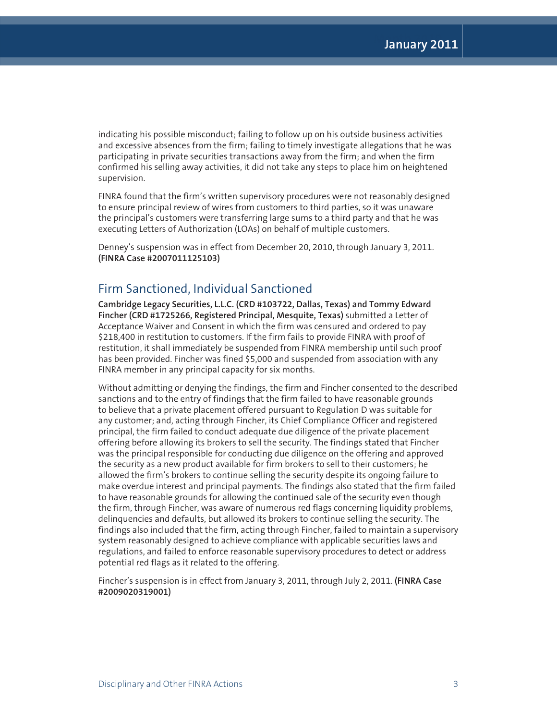indicating his possible misconduct; failing to follow up on his outside business activities and excessive absences from the firm; failing to timely investigate allegations that he was participating in private securities transactions away from the firm; and when the firm confirmed his selling away activities, it did not take any steps to place him on heightened supervision.

FINRA found that the firm's written supervisory procedures were not reasonably designed to ensure principal review of wires from customers to third parties, so it was unaware the principal's customers were transferring large sums to a third party and that he was executing Letters of Authorization (LOAs) on behalf of multiple customers.

Denney's suspension was in effect from December 20, 2010, through January 3, 2011. **(FINRA Case #2007011125103)** 

#### Firm Sanctioned, Individual Sanctioned

**Cambridge Legacy Securities, L.L.C. (CRD #103722, Dallas, Texas) and Tommy Edward Fincher (CRD #1725266, Registered Principal, Mesquite, Texas)** submitted a Letter of Acceptance Waiver and Consent in which the firm was censured and ordered to pay \$218,400 in restitution to customers. If the firm fails to provide FINRA with proof of restitution, it shall immediately be suspended from FINRA membership until such proof has been provided. Fincher was fined \$5,000 and suspended from association with any FINRA member in any principal capacity for six months.

Without admitting or denying the findings, the firm and Fincher consented to the described sanctions and to the entry of findings that the firm failed to have reasonable grounds to believe that a private placement offered pursuant to Regulation D was suitable for any customer; and, acting through Fincher, its Chief Compliance Officer and registered principal, the firm failed to conduct adequate due diligence of the private placement offering before allowing its brokers to sell the security. The findings stated that Fincher was the principal responsible for conducting due diligence on the offering and approved the security as a new product available for firm brokers to sell to their customers; he allowed the firm's brokers to continue selling the security despite its ongoing failure to make overdue interest and principal payments. The findings also stated that the firm failed to have reasonable grounds for allowing the continued sale of the security even though the firm, through Fincher, was aware of numerous red flags concerning liquidity problems, delinquencies and defaults, but allowed its brokers to continue selling the security. The findings also included that the firm, acting through Fincher, failed to maintain a supervisory system reasonably designed to achieve compliance with applicable securities laws and regulations, and failed to enforce reasonable supervisory procedures to detect or address potential red flags as it related to the offering.

Fincher's suspension is in effect from January 3, 2011, through July 2, 2011. **(FINRA Case #2009020319001)**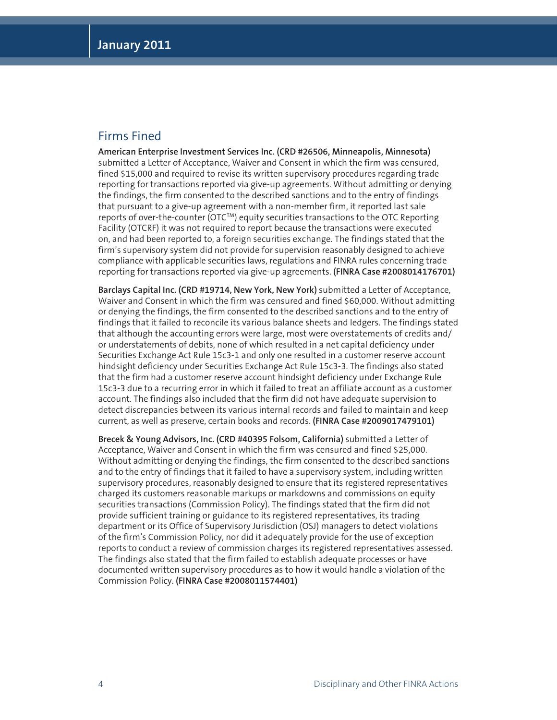## Firms Fined

**American Enterprise Investment Services Inc. (CRD #26506, Minneapolis, Minnesota)**  submitted a Letter of Acceptance, Waiver and Consent in which the firm was censured, fined \$15,000 and required to revise its written supervisory procedures regarding trade reporting for transactions reported via give-up agreements. Without admitting or denying the findings, the firm consented to the described sanctions and to the entry of findings that pursuant to a give-up agreement with a non-member firm, it reported last sale reports of over-the-counter (OTC™) equity securities transactions to the OTC Reporting Facility (OTCRF) it was not required to report because the transactions were executed on, and had been reported to, a foreign securities exchange. The findings stated that the firm's supervisory system did not provide for supervision reasonably designed to achieve compliance with applicable securities laws, regulations and FINRA rules concerning trade reporting for transactions reported via give-up agreements. **(FINRA Case #2008014176701)**

**Barclays Capital Inc. (CRD #19714, New York, New York)** submitted a Letter of Acceptance, Waiver and Consent in which the firm was censured and fined \$60,000. Without admitting or denying the findings, the firm consented to the described sanctions and to the entry of findings that it failed to reconcile its various balance sheets and ledgers. The findings stated that although the accounting errors were large, most were overstatements of credits and/ or understatements of debits, none of which resulted in a net capital deficiency under Securities Exchange Act Rule 15c3-1 and only one resulted in a customer reserve account hindsight deficiency under Securities Exchange Act Rule 15c3-3. The findings also stated that the firm had a customer reserve account hindsight deficiency under Exchange Rule 15c3-3 due to a recurring error in which it failed to treat an affiliate account as a customer account. The findings also included that the firm did not have adequate supervision to detect discrepancies between its various internal records and failed to maintain and keep current, as well as preserve, certain books and records. **(FINRA Case #2009017479101)**

**Brecek & Young Advisors, Inc. (CRD #40395 Folsom, California)** submitted a Letter of Acceptance, Waiver and Consent in which the firm was censured and fined \$25,000. Without admitting or denying the findings, the firm consented to the described sanctions and to the entry of findings that it failed to have a supervisory system, including written supervisory procedures, reasonably designed to ensure that its registered representatives charged its customers reasonable markups or markdowns and commissions on equity securities transactions (Commission Policy). The findings stated that the firm did not provide sufficient training or guidance to its registered representatives, its trading department or its Office of Supervisory Jurisdiction (OSJ) managers to detect violations of the firm's Commission Policy, nor did it adequately provide for the use of exception reports to conduct a review of commission charges its registered representatives assessed. The findings also stated that the firm failed to establish adequate processes or have documented written supervisory procedures as to how it would handle a violation of the Commission Policy. **(FINRA Case #2008011574401)**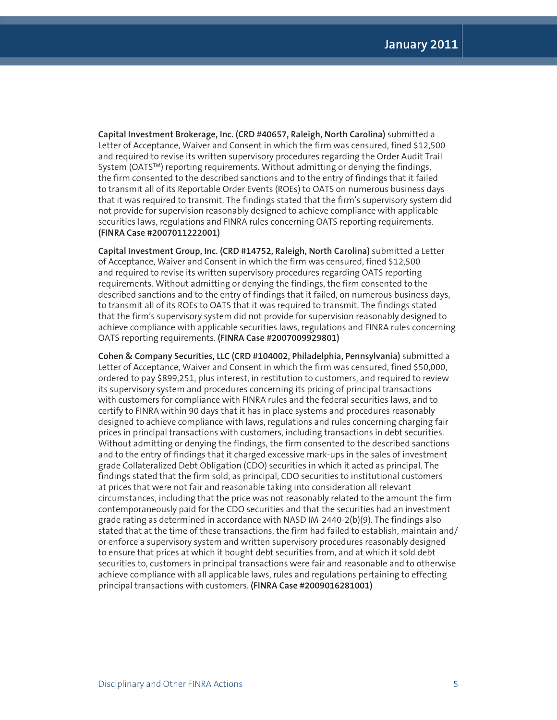**Capital Investment Brokerage, Inc. (CRD #40657, Raleigh, North Carolina)** submitted a Letter of Acceptance, Waiver and Consent in which the firm was censured, fined \$12,500 and required to revise its written supervisory procedures regarding the Order Audit Trail System (OATSTM) reporting requirements. Without admitting or denying the findings, the firm consented to the described sanctions and to the entry of findings that it failed to transmit all of its Reportable Order Events (ROEs) to OATS on numerous business days that it was required to transmit. The findings stated that the firm's supervisory system did not provide for supervision reasonably designed to achieve compliance with applicable securities laws, regulations and FINRA rules concerning OATS reporting requirements. **(FINRA Case #2007011222001)**

**Capital Investment Group, Inc. (CRD #14752, Raleigh, North Carolina)** submitted a Letter of Acceptance, Waiver and Consent in which the firm was censured, fined \$12,500 and required to revise its written supervisory procedures regarding OATS reporting requirements. Without admitting or denying the findings, the firm consented to the described sanctions and to the entry of findings that it failed, on numerous business days, to transmit all of its ROEs to OATS that it was required to transmit. The findings stated that the firm's supervisory system did not provide for supervision reasonably designed to achieve compliance with applicable securities laws, regulations and FINRA rules concerning OATS reporting requirements. **(FINRA Case #2007009929801)**

**Cohen & Company Securities, LLC (CRD #104002, Philadelphia, Pennsylvania)** submitted a Letter of Acceptance, Waiver and Consent in which the firm was censured, fined \$50,000, ordered to pay \$899,251, plus interest, in restitution to customers, and required to review its supervisory system and procedures concerning its pricing of principal transactions with customers for compliance with FINRA rules and the federal securities laws, and to certify to FINRA within 90 days that it has in place systems and procedures reasonably designed to achieve compliance with laws, regulations and rules concerning charging fair prices in principal transactions with customers, including transactions in debt securities. Without admitting or denying the findings, the firm consented to the described sanctions and to the entry of findings that it charged excessive mark-ups in the sales of investment grade Collateralized Debt Obligation (CDO) securities in which it acted as principal. The findings stated that the firm sold, as principal, CDO securities to institutional customers at prices that were not fair and reasonable taking into consideration all relevant circumstances, including that the price was not reasonably related to the amount the firm contemporaneously paid for the CDO securities and that the securities had an investment grade rating as determined in accordance with NASD IM-2440-2(b)(9). The findings also stated that at the time of these transactions, the firm had failed to establish, maintain and/ or enforce a supervisory system and written supervisory procedures reasonably designed to ensure that prices at which it bought debt securities from, and at which it sold debt securities to, customers in principal transactions were fair and reasonable and to otherwise achieve compliance with all applicable laws, rules and regulations pertaining to effecting principal transactions with customers. **(FINRA Case #2009016281001)**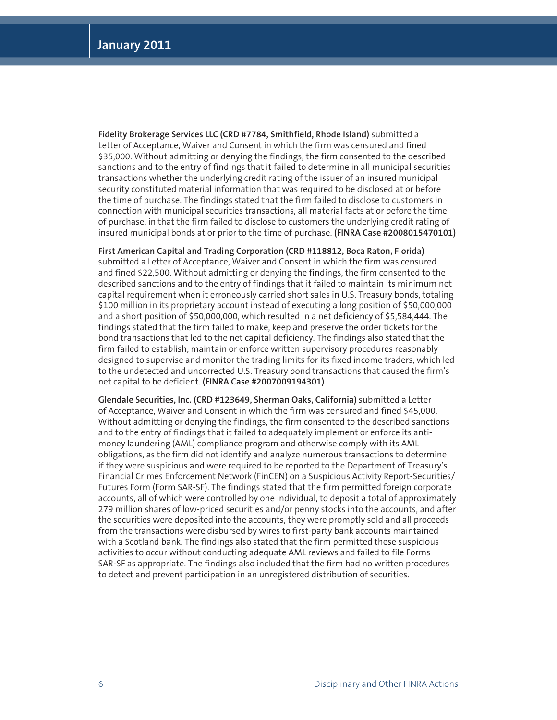**Fidelity Brokerage Services LLC (CRD #7784, Smithfield, Rhode Island)** submitted a Letter of Acceptance, Waiver and Consent in which the firm was censured and fined \$35,000. Without admitting or denying the findings, the firm consented to the described sanctions and to the entry of findings that it failed to determine in all municipal securities transactions whether the underlying credit rating of the issuer of an insured municipal security constituted material information that was required to be disclosed at or before the time of purchase. The findings stated that the firm failed to disclose to customers in connection with municipal securities transactions, all material facts at or before the time of purchase, in that the firm failed to disclose to customers the underlying credit rating of insured municipal bonds at or prior to the time of purchase. **(FINRA Case #2008015470101)**

**First American Capital and Trading Corporation (CRD #118812, Boca Raton, Florida)**  submitted a Letter of Acceptance, Waiver and Consent in which the firm was censured and fined \$22,500. Without admitting or denying the findings, the firm consented to the described sanctions and to the entry of findings that it failed to maintain its minimum net capital requirement when it erroneously carried short sales in U.S. Treasury bonds, totaling \$100 million in its proprietary account instead of executing a long position of \$50,000,000 and a short position of \$50,000,000, which resulted in a net deficiency of \$5,584,444. The findings stated that the firm failed to make, keep and preserve the order tickets for the bond transactions that led to the net capital deficiency. The findings also stated that the firm failed to establish, maintain or enforce written supervisory procedures reasonably designed to supervise and monitor the trading limits for its fixed income traders, which led to the undetected and uncorrected U.S. Treasury bond transactions that caused the firm's net capital to be deficient. **(FINRA Case #2007009194301)** 

**Glendale Securities, Inc. (CRD #123649, Sherman Oaks, California)** submitted a Letter of Acceptance, Waiver and Consent in which the firm was censured and fined \$45,000. Without admitting or denying the findings, the firm consented to the described sanctions and to the entry of findings that it failed to adequately implement or enforce its antimoney laundering (AML) compliance program and otherwise comply with its AML obligations, as the firm did not identify and analyze numerous transactions to determine if they were suspicious and were required to be reported to the Department of Treasury's Financial Crimes Enforcement Network (FinCEN) on a Suspicious Activity Report-Securities/ Futures Form (Form SAR-SF). The findings stated that the firm permitted foreign corporate accounts, all of which were controlled by one individual, to deposit a total of approximately 279 million shares of low-priced securities and/or penny stocks into the accounts, and after the securities were deposited into the accounts, they were promptly sold and all proceeds from the transactions were disbursed by wires to first-party bank accounts maintained with a Scotland bank. The findings also stated that the firm permitted these suspicious activities to occur without conducting adequate AML reviews and failed to file Forms SAR-SF as appropriate. The findings also included that the firm had no written procedures to detect and prevent participation in an unregistered distribution of securities.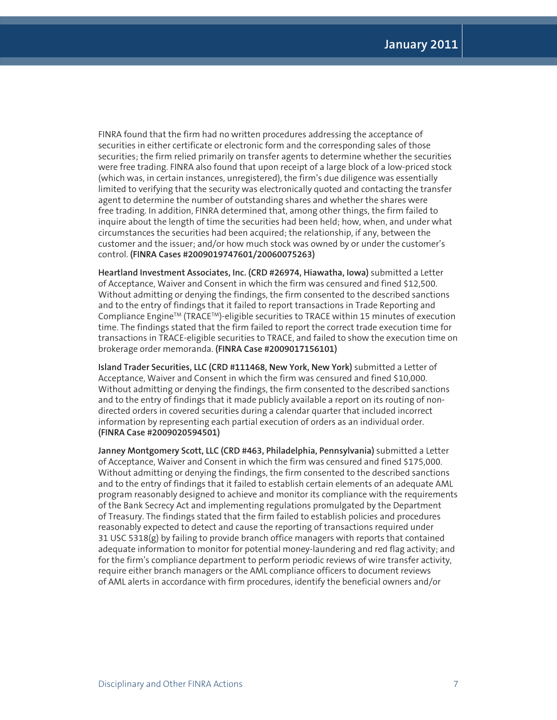FINRA found that the firm had no written procedures addressing the acceptance of securities in either certificate or electronic form and the corresponding sales of those securities; the firm relied primarily on transfer agents to determine whether the securities were free trading. FINRA also found that upon receipt of a large block of a low-priced stock (which was, in certain instances, unregistered), the firm's due diligence was essentially limited to verifying that the security was electronically quoted and contacting the transfer agent to determine the number of outstanding shares and whether the shares were free trading. In addition, FINRA determined that, among other things, the firm failed to inquire about the length of time the securities had been held; how, when, and under what circumstances the securities had been acquired; the relationship, if any, between the customer and the issuer; and/or how much stock was owned by or under the customer's control. **(FINRA Cases #2009019747601/20060075263)**

**Heartland Investment Associates, Inc. (CRD #26974, Hiawatha, Iowa)** submitted a Letter of Acceptance, Waiver and Consent in which the firm was censured and fined \$12,500. Without admitting or denying the findings, the firm consented to the described sanctions and to the entry of findings that it failed to report transactions in Trade Reporting and Compliance Engine<sup>™</sup> (TRACE<sup>™</sup>)-eligible securities to TRACE within 15 minutes of execution time. The findings stated that the firm failed to report the correct trade execution time for transactions in TRACE-eligible securities to TRACE, and failed to show the execution time on brokerage order memoranda. **(FINRA Case #2009017156101)**

**Island Trader Securities, LLC (CRD #111468, New York, New York)** submitted a Letter of Acceptance, Waiver and Consent in which the firm was censured and fined \$10,000. Without admitting or denying the findings, the firm consented to the described sanctions and to the entry of findings that it made publicly available a report on its routing of nondirected orders in covered securities during a calendar quarter that included incorrect information by representing each partial execution of orders as an individual order. **(FINRA Case #2009020594501)**

**Janney Montgomery Scott, LLC (CRD #463, Philadelphia, Pennsylvania)** submitted a Letter of Acceptance, Waiver and Consent in which the firm was censured and fined \$175,000. Without admitting or denying the findings, the firm consented to the described sanctions and to the entry of findings that it failed to establish certain elements of an adequate AML program reasonably designed to achieve and monitor its compliance with the requirements of the Bank Secrecy Act and implementing regulations promulgated by the Department of Treasury. The findings stated that the firm failed to establish policies and procedures reasonably expected to detect and cause the reporting of transactions required under 31 USC 5318(g) by failing to provide branch office managers with reports that contained adequate information to monitor for potential money-laundering and red flag activity; and for the firm's compliance department to perform periodic reviews of wire transfer activity, require either branch managers or the AML compliance officers to document reviews of AML alerts in accordance with firm procedures, identify the beneficial owners and/or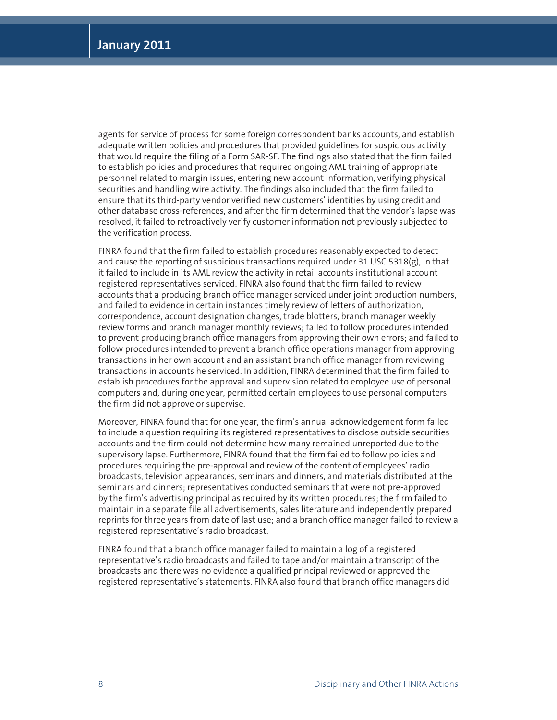agents for service of process for some foreign correspondent banks accounts, and establish adequate written policies and procedures that provided guidelines for suspicious activity that would require the filing of a Form SAR-SF. The findings also stated that the firm failed to establish policies and procedures that required ongoing AML training of appropriate personnel related to margin issues, entering new account information, verifying physical securities and handling wire activity. The findings also included that the firm failed to ensure that its third-party vendor verified new customers' identities by using credit and other database cross-references, and after the firm determined that the vendor's lapse was resolved, it failed to retroactively verify customer information not previously subjected to the verification process.

FINRA found that the firm failed to establish procedures reasonably expected to detect and cause the reporting of suspicious transactions required under 31 USC 5318 $(g)$ , in that it failed to include in its AML review the activity in retail accounts institutional account registered representatives serviced. FINRA also found that the firm failed to review accounts that a producing branch office manager serviced under joint production numbers, and failed to evidence in certain instances timely review of letters of authorization, correspondence, account designation changes, trade blotters, branch manager weekly review forms and branch manager monthly reviews; failed to follow procedures intended to prevent producing branch office managers from approving their own errors; and failed to follow procedures intended to prevent a branch office operations manager from approving transactions in her own account and an assistant branch office manager from reviewing transactions in accounts he serviced. In addition, FINRA determined that the firm failed to establish procedures for the approval and supervision related to employee use of personal computers and, during one year, permitted certain employees to use personal computers the firm did not approve or supervise.

Moreover, FINRA found that for one year, the firm's annual acknowledgement form failed to include a question requiring its registered representatives to disclose outside securities accounts and the firm could not determine how many remained unreported due to the supervisory lapse. Furthermore, FINRA found that the firm failed to follow policies and procedures requiring the pre-approval and review of the content of employees' radio broadcasts, television appearances, seminars and dinners, and materials distributed at the seminars and dinners; representatives conducted seminars that were not pre-approved by the firm's advertising principal as required by its written procedures; the firm failed to maintain in a separate file all advertisements, sales literature and independently prepared reprints for three years from date of last use; and a branch office manager failed to review a registered representative's radio broadcast.

FINRA found that a branch office manager failed to maintain a log of a registered representative's radio broadcasts and failed to tape and/or maintain a transcript of the broadcasts and there was no evidence a qualified principal reviewed or approved the registered representative's statements. FINRA also found that branch office managers did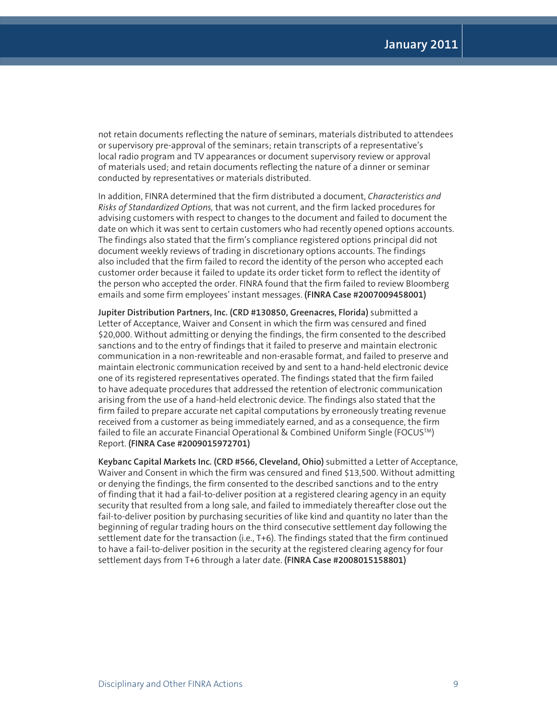not retain documents reflecting the nature of seminars, materials distributed to attendees or supervisory pre-approval of the seminars; retain transcripts of a representative's local radio program and TV appearances or document supervisory review or approval of materials used; and retain documents reflecting the nature of a dinner or seminar conducted by representatives or materials distributed.

In addition, FINRA determined that the firm distributed a document, *Characteristics and Risks of Standardized Options,* that was not current, and the firm lacked procedures for advising customers with respect to changes to the document and failed to document the date on which it was sent to certain customers who had recently opened options accounts. The findings also stated that the firm's compliance registered options principal did not document weekly reviews of trading in discretionary options accounts. The findings also included that the firm failed to record the identity of the person who accepted each customer order because it failed to update its order ticket form to reflect the identity of the person who accepted the order. FINRA found that the firm failed to review Bloomberg emails and some firm employees' instant messages. **(FINRA Case #2007009458001)**

**Jupiter Distribution Partners, Inc. (CRD #130850, Greenacres, Florida)** submitted a Letter of Acceptance, Waiver and Consent in which the firm was censured and fined \$20,000. Without admitting or denying the findings, the firm consented to the described sanctions and to the entry of findings that it failed to preserve and maintain electronic communication in a non-rewriteable and non-erasable format, and failed to preserve and maintain electronic communication received by and sent to a hand-held electronic device one of its registered representatives operated. The findings stated that the firm failed to have adequate procedures that addressed the retention of electronic communication arising from the use of a hand-held electronic device. The findings also stated that the firm failed to prepare accurate net capital computations by erroneously treating revenue received from a customer as being immediately earned, and as a consequence, the firm failed to file an accurate Financial Operational & Combined Uniform Single (FOCUSTM) Report. **(FINRA Case #2009015972701)** 

**Keybanc Capital Markets Inc. (CRD #566, Cleveland, Ohio)** submitted a Letter of Acceptance, Waiver and Consent in which the firm was censured and fined \$13,500. Without admitting or denying the findings, the firm consented to the described sanctions and to the entry of finding that it had a fail-to-deliver position at a registered clearing agency in an equity security that resulted from a long sale, and failed to immediately thereafter close out the fail-to-deliver position by purchasing securities of like kind and quantity no later than the beginning of regular trading hours on the third consecutive settlement day following the settlement date for the transaction (i.e., T+6). The findings stated that the firm continued to have a fail-to-deliver position in the security at the registered clearing agency for four settlement days from T+6 through a later date. **(FINRA Case #2008015158801)**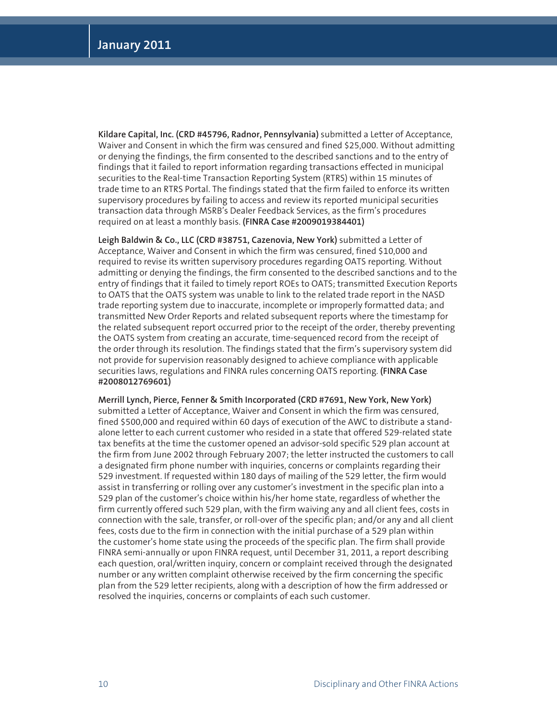**Kildare Capital, Inc. (CRD #45796, Radnor, Pennsylvania)** submitted a Letter of Acceptance, Waiver and Consent in which the firm was censured and fined \$25,000. Without admitting or denying the findings, the firm consented to the described sanctions and to the entry of findings that it failed to report information regarding transactions effected in municipal securities to the Real-time Transaction Reporting System (RTRS) within 15 minutes of trade time to an RTRS Portal. The findings stated that the firm failed to enforce its written supervisory procedures by failing to access and review its reported municipal securities transaction data through MSRB's Dealer Feedback Services, as the firm's procedures required on at least a monthly basis. **(FINRA Case #2009019384401)**

**Leigh Baldwin & Co., LLC (CRD #38751, Cazenovia, New York)** submitted a Letter of Acceptance, Waiver and Consent in which the firm was censured, fined \$10,000 and required to revise its written supervisory procedures regarding OATS reporting. Without admitting or denying the findings, the firm consented to the described sanctions and to the entry of findings that it failed to timely report ROEs to OATS; transmitted Execution Reports to OATS that the OATS system was unable to link to the related trade report in the NASD trade reporting system due to inaccurate, incomplete or improperly formatted data; and transmitted New Order Reports and related subsequent reports where the timestamp for the related subsequent report occurred prior to the receipt of the order, thereby preventing the OATS system from creating an accurate, time-sequenced record from the receipt of the order through its resolution. The findings stated that the firm's supervisory system did not provide for supervision reasonably designed to achieve compliance with applicable securities laws, regulations and FINRA rules concerning OATS reporting. **(FINRA Case #2008012769601)**

**Merrill Lynch, Pierce, Fenner & Smith Incorporated (CRD #7691, New York, New York)**  submitted a Letter of Acceptance, Waiver and Consent in which the firm was censured, fined \$500,000 and required within 60 days of execution of the AWC to distribute a standalone letter to each current customer who resided in a state that offered 529-related state tax benefits at the time the customer opened an advisor-sold specific 529 plan account at the firm from June 2002 through February 2007; the letter instructed the customers to call a designated firm phone number with inquiries, concerns or complaints regarding their 529 investment. If requested within 180 days of mailing of the 529 letter, the firm would assist in transferring or rolling over any customer's investment in the specific plan into a 529 plan of the customer's choice within his/her home state, regardless of whether the firm currently offered such 529 plan, with the firm waiving any and all client fees, costs in connection with the sale, transfer, or roll-over of the specific plan; and/or any and all client fees, costs due to the firm in connection with the initial purchase of a 529 plan within the customer's home state using the proceeds of the specific plan. The firm shall provide FINRA semi-annually or upon FINRA request, until December 31, 2011, a report describing each question, oral/written inquiry, concern or complaint received through the designated number or any written complaint otherwise received by the firm concerning the specific plan from the 529 letter recipients, along with a description of how the firm addressed or resolved the inquiries, concerns or complaints of each such customer.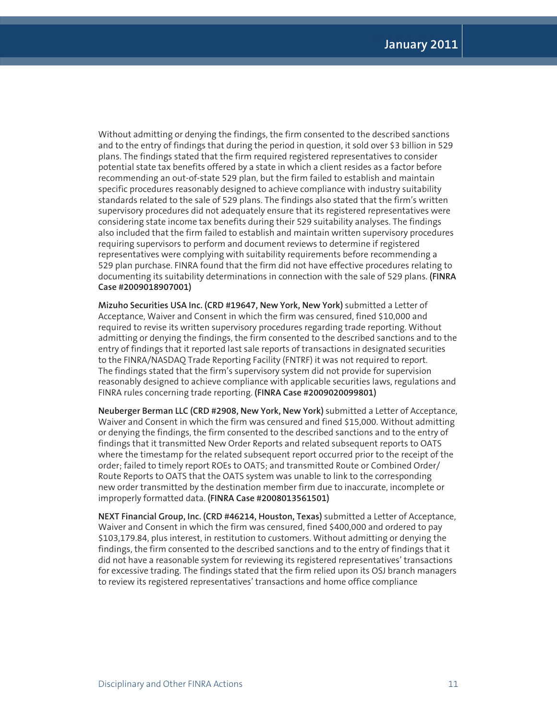Without admitting or denying the findings, the firm consented to the described sanctions and to the entry of findings that during the period in question, it sold over \$3 billion in 529 plans. The findings stated that the firm required registered representatives to consider potential state tax benefits offered by a state in which a client resides as a factor before recommending an out-of-state 529 plan, but the firm failed to establish and maintain specific procedures reasonably designed to achieve compliance with industry suitability standards related to the sale of 529 plans. The findings also stated that the firm's written supervisory procedures did not adequately ensure that its registered representatives were considering state income tax benefits during their 529 suitability analyses. The findings also included that the firm failed to establish and maintain written supervisory procedures requiring supervisors to perform and document reviews to determine if registered representatives were complying with suitability requirements before recommending a 529 plan purchase. FINRA found that the firm did not have effective procedures relating to documenting its suitability determinations in connection with the sale of 529 plans. **(FINRA Case #2009018907001)**

**Mizuho Securities USA Inc. (CRD #19647, New York, New York)** submitted a Letter of Acceptance, Waiver and Consent in which the firm was censured, fined \$10,000 and required to revise its written supervisory procedures regarding trade reporting. Without admitting or denying the findings, the firm consented to the described sanctions and to the entry of findings that it reported last sale reports of transactions in designated securities to the FINRA/NASDAQ Trade Reporting Facility (FNTRF) it was not required to report. The findings stated that the firm's supervisory system did not provide for supervision reasonably designed to achieve compliance with applicable securities laws, regulations and FINRA rules concerning trade reporting. **(FINRA Case #2009020099801)**

**Neuberger Berman LLC (CRD #2908, New York, New York)** submitted a Letter of Acceptance, Waiver and Consent in which the firm was censured and fined \$15,000. Without admitting or denying the findings, the firm consented to the described sanctions and to the entry of findings that it transmitted New Order Reports and related subsequent reports to OATS where the timestamp for the related subsequent report occurred prior to the receipt of the order; failed to timely report ROEs to OATS; and transmitted Route or Combined Order/ Route Reports to OATS that the OATS system was unable to link to the corresponding new order transmitted by the destination member firm due to inaccurate, incomplete or improperly formatted data. **(FINRA Case #2008013561501)**

**NEXT Financial Group, Inc. (CRD #46214, Houston, Texas)** submitted a Letter of Acceptance, Waiver and Consent in which the firm was censured, fined \$400,000 and ordered to pay \$103,179.84, plus interest, in restitution to customers. Without admitting or denying the findings, the firm consented to the described sanctions and to the entry of findings that it did not have a reasonable system for reviewing its registered representatives' transactions for excessive trading. The findings stated that the firm relied upon its OSJ branch managers to review its registered representatives' transactions and home office compliance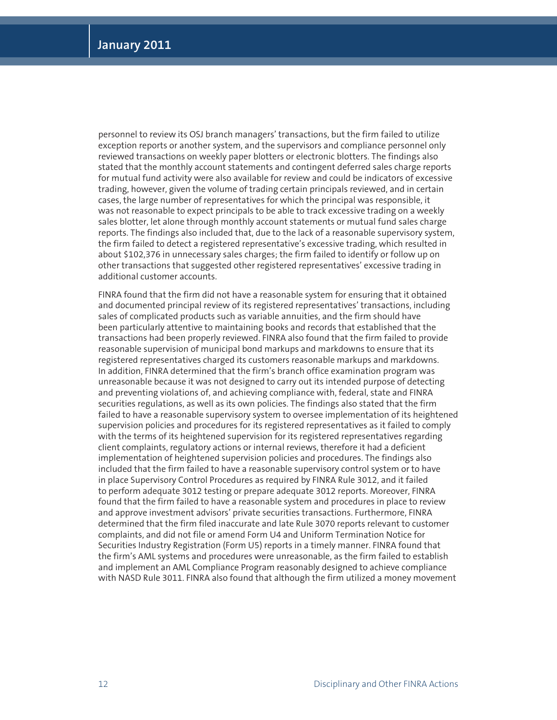personnel to review its OSJ branch managers' transactions, but the firm failed to utilize exception reports or another system, and the supervisors and compliance personnel only reviewed transactions on weekly paper blotters or electronic blotters. The findings also stated that the monthly account statements and contingent deferred sales charge reports for mutual fund activity were also available for review and could be indicators of excessive trading, however, given the volume of trading certain principals reviewed, and in certain cases, the large number of representatives for which the principal was responsible, it was not reasonable to expect principals to be able to track excessive trading on a weekly sales blotter, let alone through monthly account statements or mutual fund sales charge reports. The findings also included that, due to the lack of a reasonable supervisory system, the firm failed to detect a registered representative's excessive trading, which resulted in about \$102,376 in unnecessary sales charges; the firm failed to identify or follow up on other transactions that suggested other registered representatives' excessive trading in additional customer accounts.

FINRA found that the firm did not have a reasonable system for ensuring that it obtained and documented principal review of its registered representatives' transactions, including sales of complicated products such as variable annuities, and the firm should have been particularly attentive to maintaining books and records that established that the transactions had been properly reviewed. FINRA also found that the firm failed to provide reasonable supervision of municipal bond markups and markdowns to ensure that its registered representatives charged its customers reasonable markups and markdowns. In addition, FINRA determined that the firm's branch office examination program was unreasonable because it was not designed to carry out its intended purpose of detecting and preventing violations of, and achieving compliance with, federal, state and FINRA securities regulations, as well as its own policies. The findings also stated that the firm failed to have a reasonable supervisory system to oversee implementation of its heightened supervision policies and procedures for its registered representatives as it failed to comply with the terms of its heightened supervision for its registered representatives regarding client complaints, regulatory actions or internal reviews, therefore it had a deficient implementation of heightened supervision policies and procedures. The findings also included that the firm failed to have a reasonable supervisory control system or to have in place Supervisory Control Procedures as required by FINRA Rule 3012, and it failed to perform adequate 3012 testing or prepare adequate 3012 reports. Moreover, FINRA found that the firm failed to have a reasonable system and procedures in place to review and approve investment advisors' private securities transactions. Furthermore, FINRA determined that the firm filed inaccurate and late Rule 3070 reports relevant to customer complaints, and did not file or amend Form U4 and Uniform Termination Notice for Securities Industry Registration (Form U5) reports in a timely manner. FINRA found that the firm's AML systems and procedures were unreasonable, as the firm failed to establish and implement an AML Compliance Program reasonably designed to achieve compliance with NASD Rule 3011. FINRA also found that although the firm utilized a money movement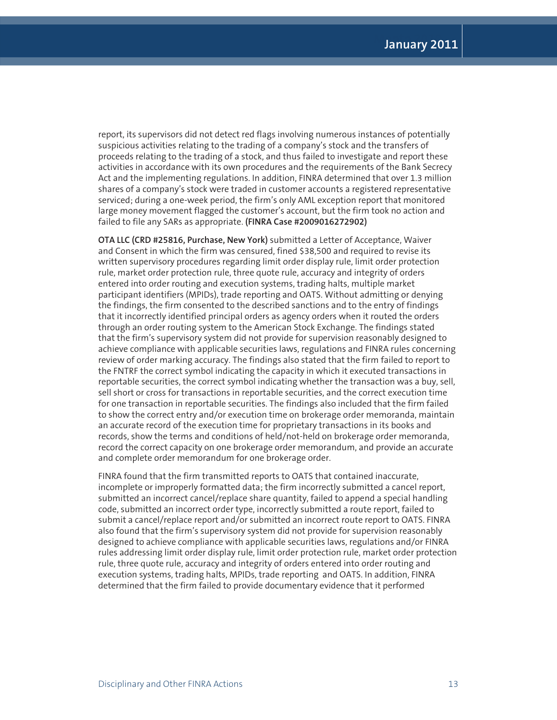report, its supervisors did not detect red flags involving numerous instances of potentially suspicious activities relating to the trading of a company's stock and the transfers of proceeds relating to the trading of a stock, and thus failed to investigate and report these activities in accordance with its own procedures and the requirements of the Bank Secrecy Act and the implementing regulations. In addition, FINRA determined that over 1.3 million shares of a company's stock were traded in customer accounts a registered representative serviced; during a one-week period, the firm's only AML exception report that monitored large money movement flagged the customer's account, but the firm took no action and failed to file any SARs as appropriate. **(FINRA Case #2009016272902)** 

**OTA LLC (CRD #25816, Purchase, New York)** submitted a Letter of Acceptance, Waiver and Consent in which the firm was censured, fined \$38,500 and required to revise its written supervisory procedures regarding limit order display rule, limit order protection rule, market order protection rule, three quote rule, accuracy and integrity of orders entered into order routing and execution systems, trading halts, multiple market participant identifiers (MPIDs), trade reporting and OATS. Without admitting or denying the findings, the firm consented to the described sanctions and to the entry of findings that it incorrectly identified principal orders as agency orders when it routed the orders through an order routing system to the American Stock Exchange. The findings stated that the firm's supervisory system did not provide for supervision reasonably designed to achieve compliance with applicable securities laws, regulations and FINRA rules concerning review of order marking accuracy. The findings also stated that the firm failed to report to the FNTRF the correct symbol indicating the capacity in which it executed transactions in reportable securities, the correct symbol indicating whether the transaction was a buy, sell, sell short or cross for transactions in reportable securities, and the correct execution time for one transaction in reportable securities. The findings also included that the firm failed to show the correct entry and/or execution time on brokerage order memoranda, maintain an accurate record of the execution time for proprietary transactions in its books and records, show the terms and conditions of held/not-held on brokerage order memoranda, record the correct capacity on one brokerage order memorandum, and provide an accurate and complete order memorandum for one brokerage order.

FINRA found that the firm transmitted reports to OATS that contained inaccurate, incomplete or improperly formatted data; the firm incorrectly submitted a cancel report, submitted an incorrect cancel/replace share quantity, failed to append a special handling code, submitted an incorrect order type, incorrectly submitted a route report, failed to submit a cancel/replace report and/or submitted an incorrect route report to OATS. FINRA also found that the firm's supervisory system did not provide for supervision reasonably designed to achieve compliance with applicable securities laws, regulations and/or FINRA rules addressing limit order display rule, limit order protection rule, market order protection rule, three quote rule, accuracy and integrity of orders entered into order routing and execution systems, trading halts, MPIDs, trade reporting and OATS. In addition, FINRA determined that the firm failed to provide documentary evidence that it performed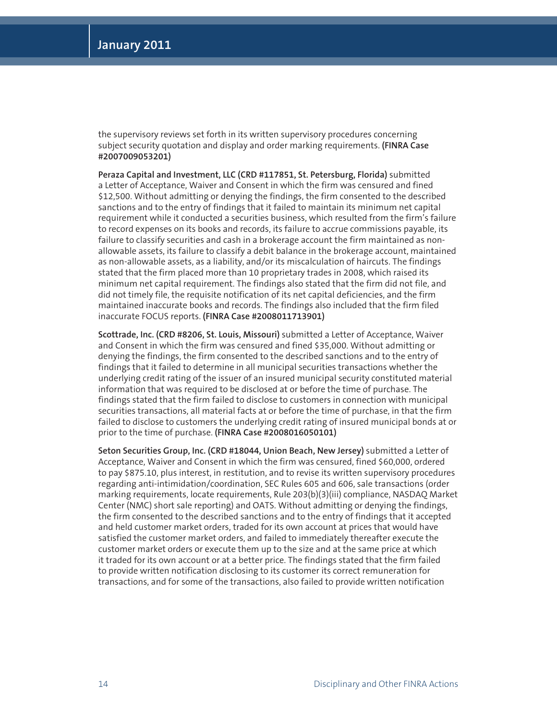the supervisory reviews set forth in its written supervisory procedures concerning subject security quotation and display and order marking requirements. **(FINRA Case #2007009053201)**

**Peraza Capital and Investment, LLC (CRD #117851, St. Petersburg, Florida)** submitted a Letter of Acceptance, Waiver and Consent in which the firm was censured and fined \$12,500. Without admitting or denying the findings, the firm consented to the described sanctions and to the entry of findings that it failed to maintain its minimum net capital requirement while it conducted a securities business, which resulted from the firm's failure to record expenses on its books and records, its failure to accrue commissions payable, its failure to classify securities and cash in a brokerage account the firm maintained as nonallowable assets, its failure to classify a debit balance in the brokerage account, maintained as non-allowable assets, as a liability, and/or its miscalculation of haircuts. The findings stated that the firm placed more than 10 proprietary trades in 2008, which raised its minimum net capital requirement. The findings also stated that the firm did not file, and did not timely file, the requisite notification of its net capital deficiencies, and the firm maintained inaccurate books and records. The findings also included that the firm filed inaccurate FOCUS reports. **(FINRA Case #2008011713901)**

**Scottrade, Inc. (CRD #8206, St. Louis, Missouri)** submitted a Letter of Acceptance, Waiver and Consent in which the firm was censured and fined \$35,000. Without admitting or denying the findings, the firm consented to the described sanctions and to the entry of findings that it failed to determine in all municipal securities transactions whether the underlying credit rating of the issuer of an insured municipal security constituted material information that was required to be disclosed at or before the time of purchase. The findings stated that the firm failed to disclose to customers in connection with municipal securities transactions, all material facts at or before the time of purchase, in that the firm failed to disclose to customers the underlying credit rating of insured municipal bonds at or prior to the time of purchase. **(FINRA Case #2008016050101)**

**Seton Securities Group, Inc. (CRD #18044, Union Beach, New Jersey)** submitted a Letter of Acceptance, Waiver and Consent in which the firm was censured, fined \$60,000, ordered to pay \$875.10, plus interest, in restitution, and to revise its written supervisory procedures regarding anti-intimidation/coordination, SEC Rules 605 and 606, sale transactions (order marking requirements, locate requirements, Rule 203(b)(3)(iii) compliance, NASDAQ Market Center (NMC) short sale reporting) and OATS. Without admitting or denying the findings, the firm consented to the described sanctions and to the entry of findings that it accepted and held customer market orders, traded for its own account at prices that would have satisfied the customer market orders, and failed to immediately thereafter execute the customer market orders or execute them up to the size and at the same price at which it traded for its own account or at a better price. The findings stated that the firm failed to provide written notification disclosing to its customer its correct remuneration for transactions, and for some of the transactions, also failed to provide written notification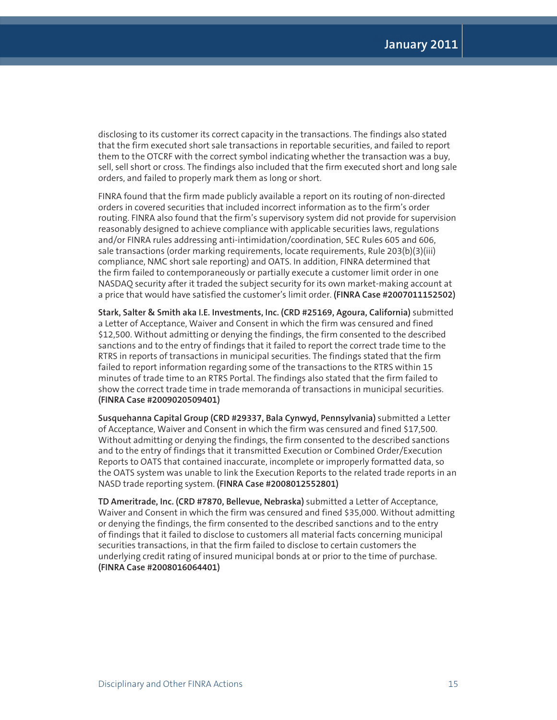disclosing to its customer its correct capacity in the transactions. The findings also stated that the firm executed short sale transactions in reportable securities, and failed to report them to the OTCRF with the correct symbol indicating whether the transaction was a buy, sell, sell short or cross. The findings also included that the firm executed short and long sale orders, and failed to properly mark them as long or short.

FINRA found that the firm made publicly available a report on its routing of non-directed orders in covered securities that included incorrect information as to the firm's order routing. FINRA also found that the firm's supervisory system did not provide for supervision reasonably designed to achieve compliance with applicable securities laws, regulations and/or FINRA rules addressing anti-intimidation/coordination, SEC Rules 605 and 606, sale transactions (order marking requirements, locate requirements, Rule 203(b)(3)(iii) compliance, NMC short sale reporting) and OATS. In addition, FINRA determined that the firm failed to contemporaneously or partially execute a customer limit order in one NASDAQ security after it traded the subject security for its own market-making account at a price that would have satisfied the customer's limit order. **(FINRA Case #2007011152502)**

**Stark, Salter & Smith aka I.E. Investments, Inc. (CRD #25169, Agoura, California)** submitted a Letter of Acceptance, Waiver and Consent in which the firm was censured and fined \$12,500. Without admitting or denying the findings, the firm consented to the described sanctions and to the entry of findings that it failed to report the correct trade time to the RTRS in reports of transactions in municipal securities. The findings stated that the firm failed to report information regarding some of the transactions to the RTRS within 15 minutes of trade time to an RTRS Portal. The findings also stated that the firm failed to show the correct trade time in trade memoranda of transactions in municipal securities. **(FINRA Case #2009020509401)**

**Susquehanna Capital Group (CRD #29337, Bala Cynwyd, Pennsylvania)** submitted a Letter of Acceptance, Waiver and Consent in which the firm was censured and fined \$17,500. Without admitting or denying the findings, the firm consented to the described sanctions and to the entry of findings that it transmitted Execution or Combined Order/Execution Reports to OATS that contained inaccurate, incomplete or improperly formatted data, so the OATS system was unable to link the Execution Reports to the related trade reports in an NASD trade reporting system. **(FINRA Case #2008012552801)**

**TD Ameritrade, Inc. (CRD #7870, Bellevue, Nebraska)** submitted a Letter of Acceptance, Waiver and Consent in which the firm was censured and fined \$35,000. Without admitting or denying the findings, the firm consented to the described sanctions and to the entry of findings that it failed to disclose to customers all material facts concerning municipal securities transactions, in that the firm failed to disclose to certain customers the underlying credit rating of insured municipal bonds at or prior to the time of purchase. **(FINRA Case #2008016064401)**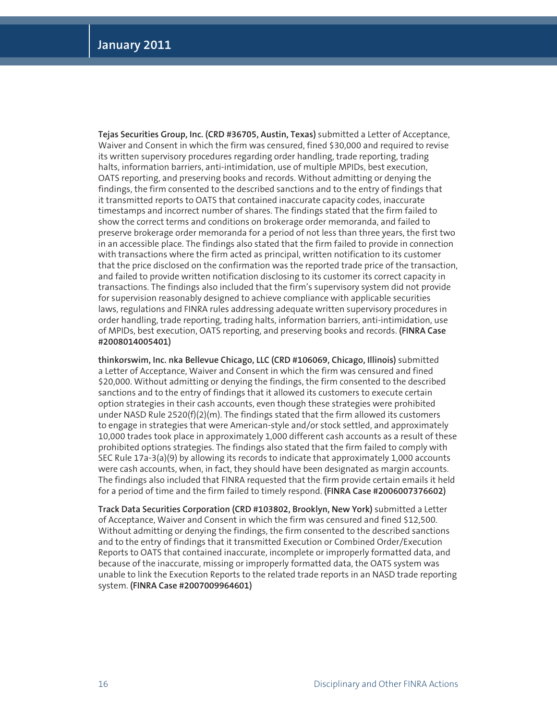**Tejas Securities Group, Inc. (CRD #36705, Austin, Texas)** submitted a Letter of Acceptance, Waiver and Consent in which the firm was censured, fined \$30,000 and required to revise its written supervisory procedures regarding order handling, trade reporting, trading halts, information barriers, anti-intimidation, use of multiple MPIDs, best execution, OATS reporting, and preserving books and records. Without admitting or denying the findings, the firm consented to the described sanctions and to the entry of findings that it transmitted reports to OATS that contained inaccurate capacity codes, inaccurate timestamps and incorrect number of shares. The findings stated that the firm failed to show the correct terms and conditions on brokerage order memoranda, and failed to preserve brokerage order memoranda for a period of not less than three years, the first two in an accessible place. The findings also stated that the firm failed to provide in connection with transactions where the firm acted as principal, written notification to its customer that the price disclosed on the confirmation was the reported trade price of the transaction, and failed to provide written notification disclosing to its customer its correct capacity in transactions. The findings also included that the firm's supervisory system did not provide for supervision reasonably designed to achieve compliance with applicable securities laws, regulations and FINRA rules addressing adequate written supervisory procedures in order handling, trade reporting, trading halts, information barriers, anti-intimidation, use of MPIDs, best execution, OATS reporting, and preserving books and records. **(FINRA Case #2008014005401)**

**thinkorswim, Inc. nka Bellevue Chicago, LLC (CRD #106069, Chicago, Illinois)** submitted a Letter of Acceptance, Waiver and Consent in which the firm was censured and fined \$20,000. Without admitting or denying the findings, the firm consented to the described sanctions and to the entry of findings that it allowed its customers to execute certain option strategies in their cash accounts, even though these strategies were prohibited under NASD Rule  $2520(f)(2)(m)$ . The findings stated that the firm allowed its customers to engage in strategies that were American-style and/or stock settled, and approximately 10,000 trades took place in approximately 1,000 different cash accounts as a result of these prohibited options strategies. The findings also stated that the firm failed to comply with SEC Rule 17a-3(a)(9) by allowing its records to indicate that approximately 1,000 accounts were cash accounts, when, in fact, they should have been designated as margin accounts. The findings also included that FINRA requested that the firm provide certain emails it held for a period of time and the firm failed to timely respond. **(FINRA Case #2006007376602)**

**Track Data Securities Corporation (CRD #103802, Brooklyn, New York)** submitted a Letter of Acceptance, Waiver and Consent in which the firm was censured and fined \$12,500. Without admitting or denying the findings, the firm consented to the described sanctions and to the entry of findings that it transmitted Execution or Combined Order/Execution Reports to OATS that contained inaccurate, incomplete or improperly formatted data, and because of the inaccurate, missing or improperly formatted data, the OATS system was unable to link the Execution Reports to the related trade reports in an NASD trade reporting system. **(FINRA Case #2007009964601)**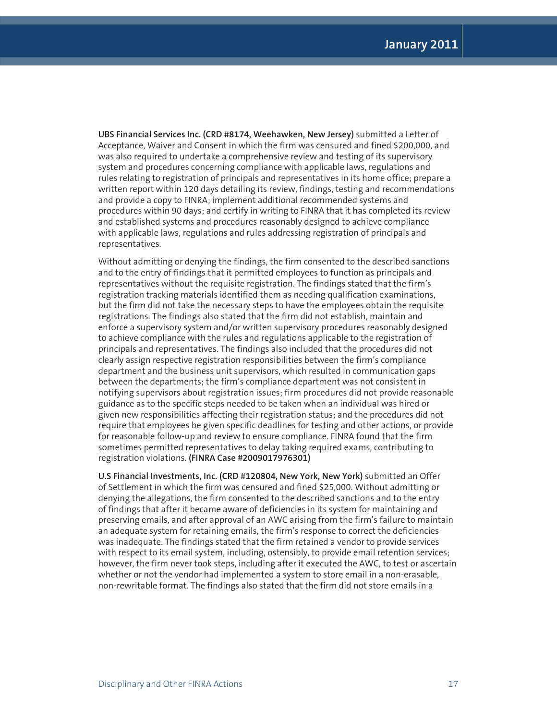**UBS Financial Services Inc. (CRD #8174, Weehawken, New Jersey)** submitted a Letter of Acceptance, Waiver and Consent in which the firm was censured and fined \$200,000, and was also required to undertake a comprehensive review and testing of its supervisory system and procedures concerning compliance with applicable laws, regulations and rules relating to registration of principals and representatives in its home office; prepare a written report within 120 days detailing its review, findings, testing and recommendations and provide a copy to FINRA; implement additional recommended systems and procedures within 90 days; and certify in writing to FINRA that it has completed its review and established systems and procedures reasonably designed to achieve compliance with applicable laws, regulations and rules addressing registration of principals and representatives.

Without admitting or denying the findings, the firm consented to the described sanctions and to the entry of findings that it permitted employees to function as principals and representatives without the requisite registration. The findings stated that the firm's registration tracking materials identified them as needing qualification examinations, but the firm did not take the necessary steps to have the employees obtain the requisite registrations. The findings also stated that the firm did not establish, maintain and enforce a supervisory system and/or written supervisory procedures reasonably designed to achieve compliance with the rules and regulations applicable to the registration of principals and representatives. The findings also included that the procedures did not clearly assign respective registration responsibilities between the firm's compliance department and the business unit supervisors, which resulted in communication gaps between the departments; the firm's compliance department was not consistent in notifying supervisors about registration issues; firm procedures did not provide reasonable guidance as to the specific steps needed to be taken when an individual was hired or given new responsibilities affecting their registration status; and the procedures did not require that employees be given specific deadlines for testing and other actions, or provide for reasonable follow-up and review to ensure compliance. FINRA found that the firm sometimes permitted representatives to delay taking required exams, contributing to registration violations. **(FINRA Case #2009017976301)**

**U.S Financial Investments, Inc. (CRD #120804, New York, New York)** submitted an Offer of Settlement in which the firm was censured and fined \$25,000. Without admitting or denying the allegations, the firm consented to the described sanctions and to the entry of findings that after it became aware of deficiencies in its system for maintaining and preserving emails, and after approval of an AWC arising from the firm's failure to maintain an adequate system for retaining emails, the firm's response to correct the deficiencies was inadequate. The findings stated that the firm retained a vendor to provide services with respect to its email system, including, ostensibly, to provide email retention services; however, the firm never took steps, including after it executed the AWC, to test or ascertain whether or not the vendor had implemented a system to store email in a non-erasable, non-rewritable format. The findings also stated that the firm did not store emails in a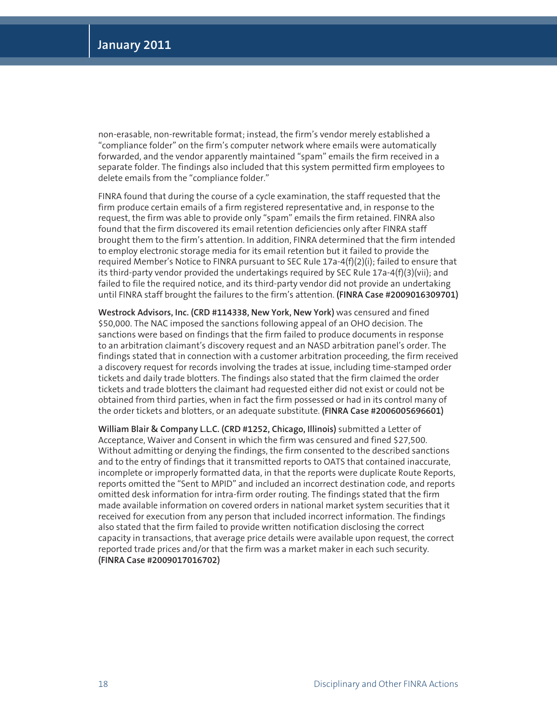non-erasable, non-rewritable format; instead, the firm's vendor merely established a "compliance folder" on the firm's computer network where emails were automatically forwarded, and the vendor apparently maintained "spam" emails the firm received in a separate folder. The findings also included that this system permitted firm employees to delete emails from the "compliance folder."

FINRA found that during the course of a cycle examination, the staff requested that the firm produce certain emails of a firm registered representative and, in response to the request, the firm was able to provide only "spam" emails the firm retained. FINRA also found that the firm discovered its email retention deficiencies only after FINRA staff brought them to the firm's attention. In addition, FINRA determined that the firm intended to employ electronic storage media for its email retention but it failed to provide the required Member's Notice to FINRA pursuant to SEC Rule 17a-4(f)(2)(i); failed to ensure that its third-party vendor provided the undertakings required by SEC Rule 17a-4(f)(3)(vii); and failed to file the required notice, and its third-party vendor did not provide an undertaking until FINRA staff brought the failures to the firm's attention. **(FINRA Case #2009016309701)**

**Westrock Advisors, Inc. (CRD #114338, New York, New York)** was censured and fined \$50,000. The NAC imposed the sanctions following appeal of an OHO decision. The sanctions were based on findings that the firm failed to produce documents in response to an arbitration claimant's discovery request and an NASD arbitration panel's order. The findings stated that in connection with a customer arbitration proceeding, the firm received a discovery request for records involving the trades at issue, including time-stamped order tickets and daily trade blotters. The findings also stated that the firm claimed the order tickets and trade blotters the claimant had requested either did not exist or could not be obtained from third parties, when in fact the firm possessed or had in its control many of the order tickets and blotters, or an adequate substitute. **(FINRA Case #2006005696601)** 

**William Blair & Company L.L.C. (CRD #1252, Chicago, Illinois)** submitted a Letter of Acceptance, Waiver and Consent in which the firm was censured and fined \$27,500. Without admitting or denying the findings, the firm consented to the described sanctions and to the entry of findings that it transmitted reports to OATS that contained inaccurate, incomplete or improperly formatted data, in that the reports were duplicate Route Reports, reports omitted the "Sent to MPID" and included an incorrect destination code, and reports omitted desk information for intra-firm order routing. The findings stated that the firm made available information on covered orders in national market system securities that it received for execution from any person that included incorrect information. The findings also stated that the firm failed to provide written notification disclosing the correct capacity in transactions, that average price details were available upon request, the correct reported trade prices and/or that the firm was a market maker in each such security. **(FINRA Case #2009017016702)**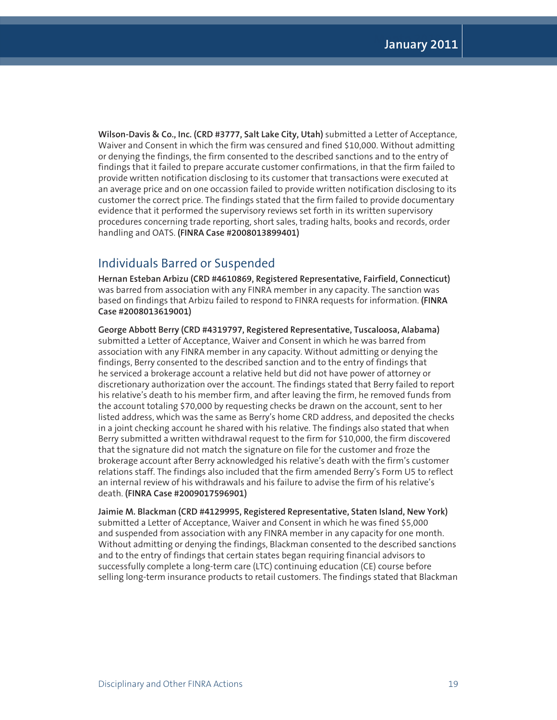**Wilson-Davis & Co., Inc. (CRD #3777, Salt Lake City, Utah)** submitted a Letter of Acceptance, Waiver and Consent in which the firm was censured and fined \$10,000. Without admitting or denying the findings, the firm consented to the described sanctions and to the entry of findings that it failed to prepare accurate customer confirmations, in that the firm failed to provide written notification disclosing to its customer that transactions were executed at an average price and on one occassion failed to provide written notification disclosing to its customer the correct price. The findings stated that the firm failed to provide documentary evidence that it performed the supervisory reviews set forth in its written supervisory procedures concerning trade reporting, short sales, trading halts, books and records, order handling and OATS. **(FINRA Case #2008013899401)**

## Individuals Barred or Suspended

**Hernan Esteban Arbizu (CRD #4610869, Registered Representative, Fairfield, Connecticut)** was barred from association with any FINRA member in any capacity. The sanction was based on findings that Arbizu failed to respond to FINRA requests for information. **(FINRA Case #2008013619001)** 

**George Abbott Berry (CRD #4319797, Registered Representative, Tuscaloosa, Alabama)** submitted a Letter of Acceptance, Waiver and Consent in which he was barred from association with any FINRA member in any capacity. Without admitting or denying the findings, Berry consented to the described sanction and to the entry of findings that he serviced a brokerage account a relative held but did not have power of attorney or discretionary authorization over the account. The findings stated that Berry failed to report his relative's death to his member firm, and after leaving the firm, he removed funds from the account totaling \$70,000 by requesting checks be drawn on the account, sent to her listed address, which was the same as Berry's home CRD address, and deposited the checks in a joint checking account he shared with his relative. The findings also stated that when Berry submitted a written withdrawal request to the firm for \$10,000, the firm discovered that the signature did not match the signature on file for the customer and froze the brokerage account after Berry acknowledged his relative's death with the firm's customer relations staff. The findings also included that the firm amended Berry's Form U5 to reflect an internal review of his withdrawals and his failure to advise the firm of his relative's death. **(FINRA Case #2009017596901)**

**Jaimie M. Blackman (CRD #4129995, Registered Representative, Staten Island, New York)**  submitted a Letter of Acceptance, Waiver and Consent in which he was fined \$5,000 and suspended from association with any FINRA member in any capacity for one month. Without admitting or denying the findings, Blackman consented to the described sanctions and to the entry of findings that certain states began requiring financial advisors to successfully complete a long-term care (LTC) continuing education (CE) course before selling long-term insurance products to retail customers. The findings stated that Blackman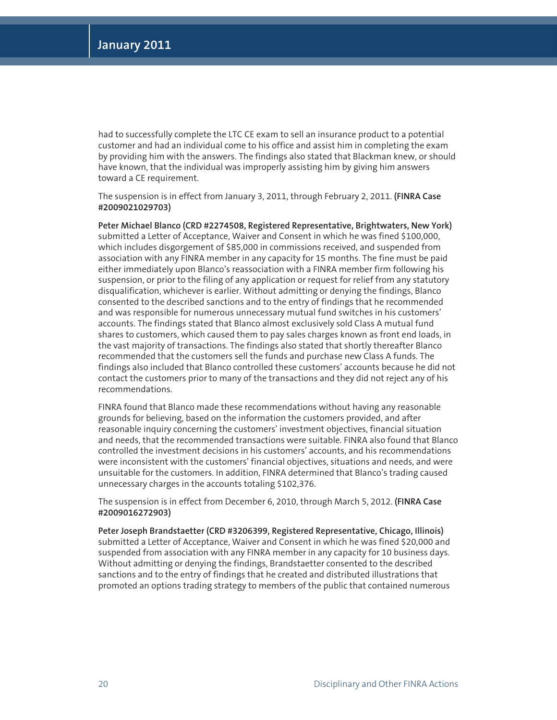had to successfully complete the LTC CE exam to sell an insurance product to a potential customer and had an individual come to his office and assist him in completing the exam by providing him with the answers. The findings also stated that Blackman knew, or should have known, that the individual was improperly assisting him by giving him answers toward a CE requirement.

The suspension is in effect from January 3, 2011, through February 2, 2011. **(FINRA Case #2009021029703)**

**Peter Michael Blanco (CRD #2274508, Registered Representative, Brightwaters, New York)** submitted a Letter of Acceptance, Waiver and Consent in which he was fined \$100,000, which includes disgorgement of \$85,000 in commissions received, and suspended from association with any FINRA member in any capacity for 15 months. The fine must be paid either immediately upon Blanco's reassociation with a FINRA member firm following his suspension, or prior to the filing of any application or request for relief from any statutory disqualification, whichever is earlier. Without admitting or denying the findings, Blanco consented to the described sanctions and to the entry of findings that he recommended and was responsible for numerous unnecessary mutual fund switches in his customers' accounts. The findings stated that Blanco almost exclusively sold Class A mutual fund shares to customers, which caused them to pay sales charges known as front end loads, in the vast majority of transactions. The findings also stated that shortly thereafter Blanco recommended that the customers sell the funds and purchase new Class A funds. The findings also included that Blanco controlled these customers' accounts because he did not contact the customers prior to many of the transactions and they did not reject any of his recommendations.

FINRA found that Blanco made these recommendations without having any reasonable grounds for believing, based on the information the customers provided, and after reasonable inquiry concerning the customers' investment objectives, financial situation and needs, that the recommended transactions were suitable. FINRA also found that Blanco controlled the investment decisions in his customers' accounts, and his recommendations were inconsistent with the customers' financial objectives, situations and needs, and were unsuitable for the customers. In addition, FINRA determined that Blanco's trading caused unnecessary charges in the accounts totaling \$102,376.

The suspension is in effect from December 6, 2010, through March 5, 2012. **(FINRA Case #2009016272903)** 

**Peter Joseph Brandstaetter (CRD #3206399, Registered Representative, Chicago, Illinois)**  submitted a Letter of Acceptance, Waiver and Consent in which he was fined \$20,000 and suspended from association with any FINRA member in any capacity for 10 business days. Without admitting or denying the findings, Brandstaetter consented to the described sanctions and to the entry of findings that he created and distributed illustrations that promoted an options trading strategy to members of the public that contained numerous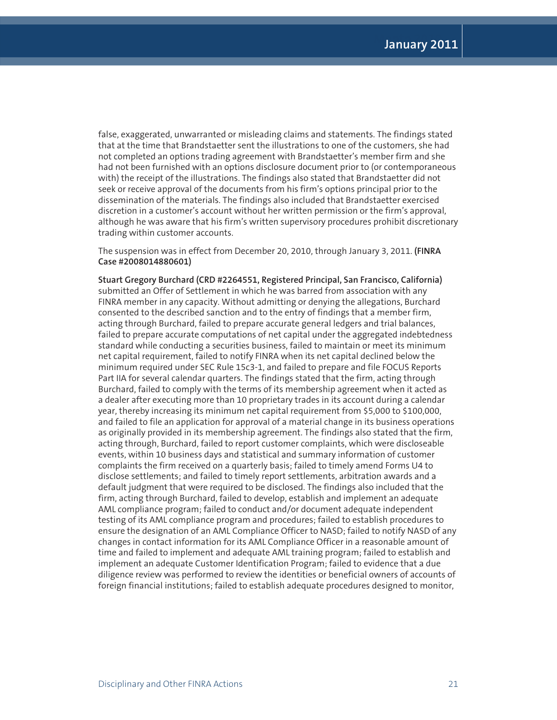false, exaggerated, unwarranted or misleading claims and statements. The findings stated that at the time that Brandstaetter sent the illustrations to one of the customers, she had not completed an options trading agreement with Brandstaetter's member firm and she had not been furnished with an options disclosure document prior to (or contemporaneous with) the receipt of the illustrations. The findings also stated that Brandstaetter did not seek or receive approval of the documents from his firm's options principal prior to the dissemination of the materials. The findings also included that Brandstaetter exercised discretion in a customer's account without her written permission or the firm's approval, although he was aware that his firm's written supervisory procedures prohibit discretionary trading within customer accounts.

The suspension was in effect from December 20, 2010, through January 3, 2011. **(FINRA Case #2008014880601)**

**Stuart Gregory Burchard (CRD #2264551, Registered Principal, San Francisco, California)** submitted an Offer of Settlement in which he was barred from association with any FINRA member in any capacity. Without admitting or denying the allegations, Burchard consented to the described sanction and to the entry of findings that a member firm, acting through Burchard, failed to prepare accurate general ledgers and trial balances, failed to prepare accurate computations of net capital under the aggregated indebtedness standard while conducting a securities business, failed to maintain or meet its minimum net capital requirement, failed to notify FINRA when its net capital declined below the minimum required under SEC Rule 15c3-1, and failed to prepare and file FOCUS Reports Part IIA for several calendar quarters. The findings stated that the firm, acting through Burchard, failed to comply with the terms of its membership agreement when it acted as a dealer after executing more than 10 proprietary trades in its account during a calendar year, thereby increasing its minimum net capital requirement from \$5,000 to \$100,000, and failed to file an application for approval of a material change in its business operations as originally provided in its membership agreement. The findings also stated that the firm, acting through, Burchard, failed to report customer complaints, which were discloseable events, within 10 business days and statistical and summary information of customer complaints the firm received on a quarterly basis; failed to timely amend Forms U4 to disclose settlements; and failed to timely report settlements, arbitration awards and a default judgment that were required to be disclosed. The findings also included that the firm, acting through Burchard, failed to develop, establish and implement an adequate AML compliance program; failed to conduct and/or document adequate independent testing of its AML compliance program and procedures; failed to establish procedures to ensure the designation of an AML Compliance Officer to NASD; failed to notify NASD of any changes in contact information for its AML Compliance Officer in a reasonable amount of time and failed to implement and adequate AML training program; failed to establish and implement an adequate Customer Identification Program; failed to evidence that a due diligence review was performed to review the identities or beneficial owners of accounts of foreign financial institutions; failed to establish adequate procedures designed to monitor,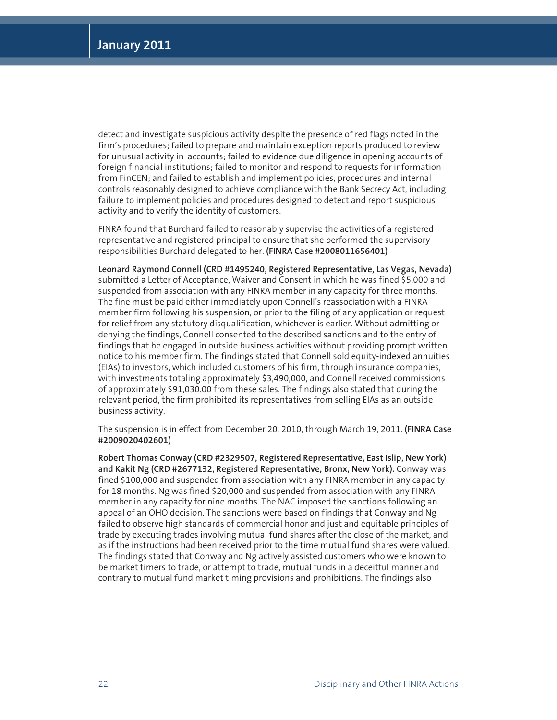detect and investigate suspicious activity despite the presence of red flags noted in the firm's procedures; failed to prepare and maintain exception reports produced to review for unusual activity in accounts; failed to evidence due diligence in opening accounts of foreign financial institutions; failed to monitor and respond to requests for information from FinCEN; and failed to establish and implement policies, procedures and internal controls reasonably designed to achieve compliance with the Bank Secrecy Act, including failure to implement policies and procedures designed to detect and report suspicious activity and to verify the identity of customers.

FINRA found that Burchard failed to reasonably supervise the activities of a registered representative and registered principal to ensure that she performed the supervisory responsibilities Burchard delegated to her. **(FINRA Case #2008011656401)**

**Leonard Raymond Connell (CRD #1495240, Registered Representative, Las Vegas, Nevada)** submitted a Letter of Acceptance, Waiver and Consent in which he was fined \$5,000 and suspended from association with any FINRA member in any capacity for three months. The fine must be paid either immediately upon Connell's reassociation with a FINRA member firm following his suspension, or prior to the filing of any application or request for relief from any statutory disqualification, whichever is earlier. Without admitting or denying the findings, Connell consented to the described sanctions and to the entry of findings that he engaged in outside business activities without providing prompt written notice to his member firm. The findings stated that Connell sold equity-indexed annuities (EIAs) to investors, which included customers of his firm, through insurance companies, with investments totaling approximately \$3,490,000, and Connell received commissions of approximately \$91,030.00 from these sales. The findings also stated that during the relevant period, the firm prohibited its representatives from selling EIAs as an outside business activity.

The suspension is in effect from December 20, 2010, through March 19, 2011. **(FINRA Case #2009020402601)**

**Robert Thomas Conway (CRD #2329507, Registered Representative, East Islip, New York) and Kakit Ng (CRD #2677132, Registered Representative, Bronx, New York).** Conway was fined \$100,000 and suspended from association with any FINRA member in any capacity for 18 months. Ng was fined \$20,000 and suspended from association with any FINRA member in any capacity for nine months. The NAC imposed the sanctions following an appeal of an OHO decision. The sanctions were based on findings that Conway and Ng failed to observe high standards of commercial honor and just and equitable principles of trade by executing trades involving mutual fund shares after the close of the market, and as if the instructions had been received prior to the time mutual fund shares were valued. The findings stated that Conway and Ng actively assisted customers who were known to be market timers to trade, or attempt to trade, mutual funds in a deceitful manner and contrary to mutual fund market timing provisions and prohibitions. The findings also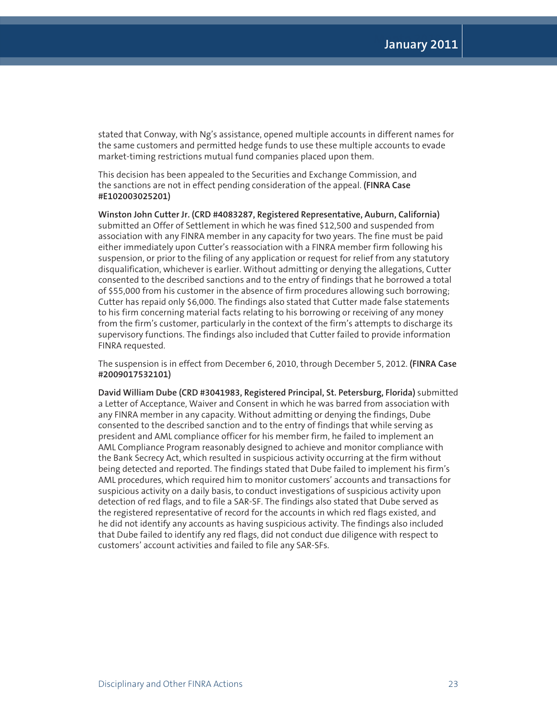stated that Conway, with Ng's assistance, opened multiple accounts in different names for the same customers and permitted hedge funds to use these multiple accounts to evade market-timing restrictions mutual fund companies placed upon them.

This decision has been appealed to the Securities and Exchange Commission, and the sanctions are not in effect pending consideration of the appeal. **(FINRA Case #E102003025201)**

**Winston John Cutter Jr. (CRD #4083287, Registered Representative, Auburn, California)** submitted an Offer of Settlement in which he was fined \$12,500 and suspended from association with any FINRA member in any capacity for two years. The fine must be paid either immediately upon Cutter's reassociation with a FINRA member firm following his suspension, or prior to the filing of any application or request for relief from any statutory disqualification, whichever is earlier. Without admitting or denying the allegations, Cutter consented to the described sanctions and to the entry of findings that he borrowed a total of \$55,000 from his customer in the absence of firm procedures allowing such borrowing; Cutter has repaid only \$6,000. The findings also stated that Cutter made false statements to his firm concerning material facts relating to his borrowing or receiving of any money from the firm's customer, particularly in the context of the firm's attempts to discharge its supervisory functions. The findings also included that Cutter failed to provide information FINRA requested.

The suspension is in effect from December 6, 2010, through December 5, 2012. **(FINRA Case #2009017532101)**

**David William Dube (CRD #3041983, Registered Principal, St. Petersburg, Florida)** submitted a Letter of Acceptance, Waiver and Consent in which he was barred from association with any FINRA member in any capacity. Without admitting or denying the findings, Dube consented to the described sanction and to the entry of findings that while serving as president and AML compliance officer for his member firm, he failed to implement an AML Compliance Program reasonably designed to achieve and monitor compliance with the Bank Secrecy Act, which resulted in suspicious activity occurring at the firm without being detected and reported. The findings stated that Dube failed to implement his firm's AML procedures, which required him to monitor customers' accounts and transactions for suspicious activity on a daily basis, to conduct investigations of suspicious activity upon detection of red flags, and to file a SAR-SF. The findings also stated that Dube served as the registered representative of record for the accounts in which red flags existed, and he did not identify any accounts as having suspicious activity. The findings also included that Dube failed to identify any red flags, did not conduct due diligence with respect to customers' account activities and failed to file any SAR-SFs.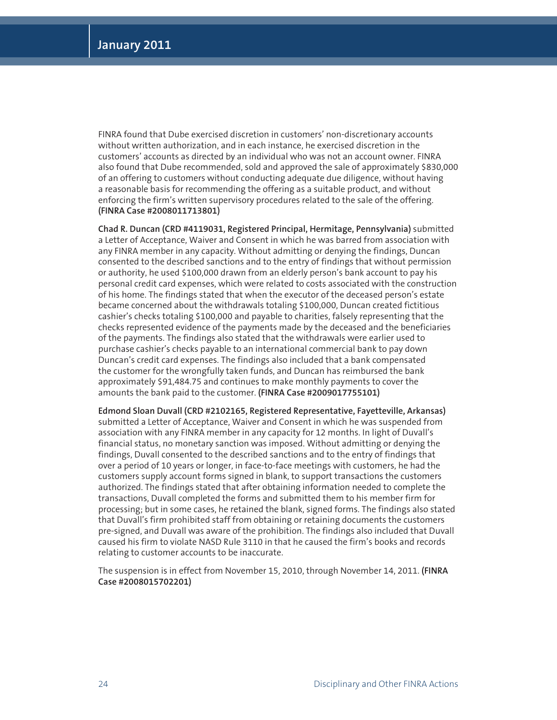FINRA found that Dube exercised discretion in customers' non-discretionary accounts without written authorization, and in each instance, he exercised discretion in the customers' accounts as directed by an individual who was not an account owner. FINRA also found that Dube recommended, sold and approved the sale of approximately \$830,000 of an offering to customers without conducting adequate due diligence, without having a reasonable basis for recommending the offering as a suitable product, and without enforcing the firm's written supervisory procedures related to the sale of the offering. **(FINRA Case #2008011713801)** 

**Chad R. Duncan (CRD #4119031, Registered Principal, Hermitage, Pennsylvania)** submitted a Letter of Acceptance, Waiver and Consent in which he was barred from association with any FINRA member in any capacity. Without admitting or denying the findings, Duncan consented to the described sanctions and to the entry of findings that without permission or authority, he used \$100,000 drawn from an elderly person's bank account to pay his personal credit card expenses, which were related to costs associated with the construction of his home. The findings stated that when the executor of the deceased person's estate became concerned about the withdrawals totaling \$100,000, Duncan created fictitious cashier's checks totaling \$100,000 and payable to charities, falsely representing that the checks represented evidence of the payments made by the deceased and the beneficiaries of the payments. The findings also stated that the withdrawals were earlier used to purchase cashier's checks payable to an international commercial bank to pay down Duncan's credit card expenses. The findings also included that a bank compensated the customer for the wrongfully taken funds, and Duncan has reimbursed the bank approximately \$91,484.75 and continues to make monthly payments to cover the amounts the bank paid to the customer. **(FINRA Case #2009017755101)**

**Edmond Sloan Duvall (CRD #2102165, Registered Representative, Fayetteville, Arkansas)** submitted a Letter of Acceptance, Waiver and Consent in which he was suspended from association with any FINRA member in any capacity for 12 months. In light of Duvall's financial status, no monetary sanction was imposed. Without admitting or denying the findings, Duvall consented to the described sanctions and to the entry of findings that over a period of 10 years or longer, in face-to-face meetings with customers, he had the customers supply account forms signed in blank, to support transactions the customers authorized. The findings stated that after obtaining information needed to complete the transactions, Duvall completed the forms and submitted them to his member firm for processing; but in some cases, he retained the blank, signed forms. The findings also stated that Duvall's firm prohibited staff from obtaining or retaining documents the customers pre-signed, and Duvall was aware of the prohibition. The findings also included that Duvall caused his firm to violate NASD Rule 3110 in that he caused the firm's books and records relating to customer accounts to be inaccurate.

The suspension is in effect from November 15, 2010, through November 14, 2011. **(FINRA Case #2008015702201)**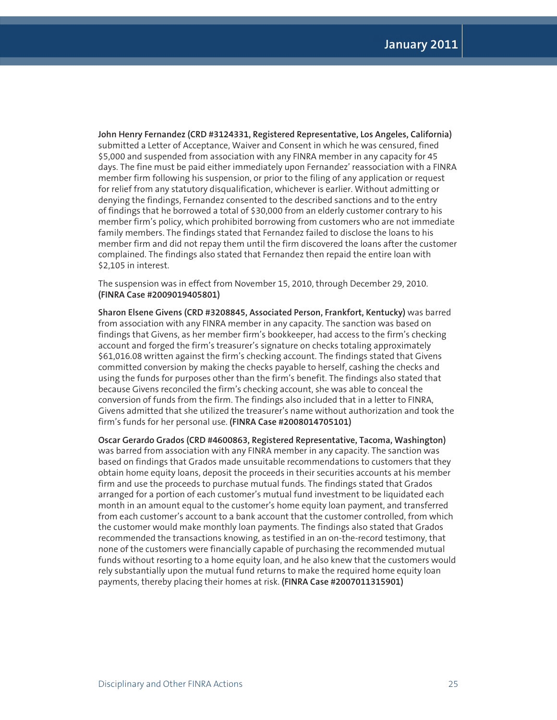**John Henry Fernandez (CRD #3124331, Registered Representative, Los Angeles, California)** submitted a Letter of Acceptance, Waiver and Consent in which he was censured, fined \$5,000 and suspended from association with any FINRA member in any capacity for 45 days. The fine must be paid either immediately upon Fernandez' reassociation with a FINRA member firm following his suspension, or prior to the filing of any application or request for relief from any statutory disqualification, whichever is earlier. Without admitting or denying the findings, Fernandez consented to the described sanctions and to the entry of findings that he borrowed a total of \$30,000 from an elderly customer contrary to his member firm's policy, which prohibited borrowing from customers who are not immediate family members. The findings stated that Fernandez failed to disclose the loans to his member firm and did not repay them until the firm discovered the loans after the customer complained. The findings also stated that Fernandez then repaid the entire loan with \$2,105 in interest.

The suspension was in effect from November 15, 2010, through December 29, 2010. **(FINRA Case #2009019405801)**

**Sharon Elsene Givens (CRD #3208845, Associated Person, Frankfort, Kentucky)** was barred from association with any FINRA member in any capacity. The sanction was based on findings that Givens, as her member firm's bookkeeper, had access to the firm's checking account and forged the firm's treasurer's signature on checks totaling approximately \$61,016.08 written against the firm's checking account. The findings stated that Givens committed conversion by making the checks payable to herself, cashing the checks and using the funds for purposes other than the firm's benefit. The findings also stated that because Givens reconciled the firm's checking account, she was able to conceal the conversion of funds from the firm. The findings also included that in a letter to FINRA, Givens admitted that she utilized the treasurer's name without authorization and took the firm's funds for her personal use. **(FINRA Case #2008014705101)**

**Oscar Gerardo Grados (CRD #4600863, Registered Representative, Tacoma, Washington)** was barred from association with any FINRA member in any capacity. The sanction was based on findings that Grados made unsuitable recommendations to customers that they obtain home equity loans, deposit the proceeds in their securities accounts at his member firm and use the proceeds to purchase mutual funds. The findings stated that Grados arranged for a portion of each customer's mutual fund investment to be liquidated each month in an amount equal to the customer's home equity loan payment, and transferred from each customer's account to a bank account that the customer controlled, from which the customer would make monthly loan payments. The findings also stated that Grados recommended the transactions knowing, as testified in an on-the-record testimony, that none of the customers were financially capable of purchasing the recommended mutual funds without resorting to a home equity loan, and he also knew that the customers would rely substantially upon the mutual fund returns to make the required home equity loan payments, thereby placing their homes at risk. **(FINRA Case #2007011315901)**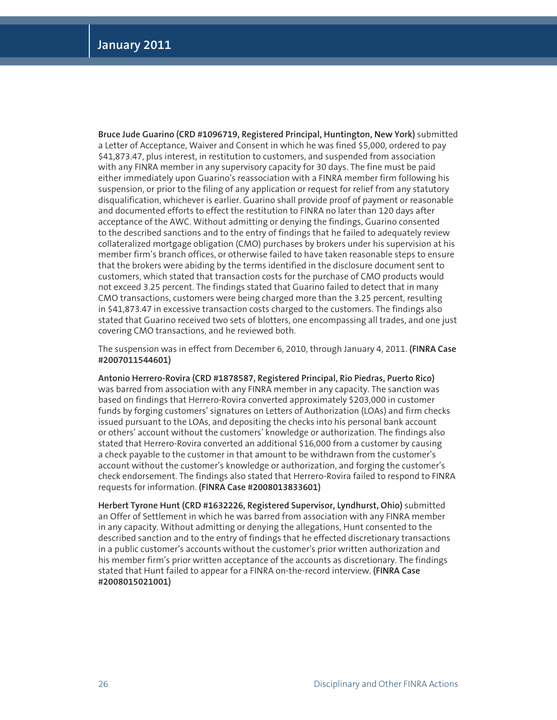**Bruce Jude Guarino (CRD #1096719, Registered Principal, Huntington, New York)** submitted a Letter of Acceptance, Waiver and Consent in which he was fined \$5,000, ordered to pay \$41,873.47, plus interest, in restitution to customers, and suspended from association with any FINRA member in any supervisory capacity for 30 days. The fine must be paid either immediately upon Guarino's reassociation with a FINRA member firm following his suspension, or prior to the filing of any application or request for relief from any statutory disqualification, whichever is earlier. Guarino shall provide proof of payment or reasonable and documented efforts to effect the restitution to FINRA no later than 120 days after acceptance of the AWC. Without admitting or denying the findings, Guarino consented to the described sanctions and to the entry of findings that he failed to adequately review collateralized mortgage obligation (CMO) purchases by brokers under his supervision at his member firm's branch offices, or otherwise failed to have taken reasonable steps to ensure that the brokers were abiding by the terms identified in the disclosure document sent to customers, which stated that transaction costs for the purchase of CMO products would not exceed 3.25 percent. The findings stated that Guarino failed to detect that in many CMO transactions, customers were being charged more than the 3.25 percent, resulting in \$41,873.47 in excessive transaction costs charged to the customers. The findings also stated that Guarino received two sets of blotters, one encompassing all trades, and one just covering CMO transactions, and he reviewed both.

The suspension was in effect from December 6, 2010, through January 4, 2011. **(FINRA Case #2007011544601)** 

**Antonio Herrero-Rovira (CRD #1878587, Registered Principal, Rio Piedras, Puerto Rico)**  was barred from association with any FINRA member in any capacity. The sanction was based on findings that Herrero-Rovira converted approximately \$203,000 in customer funds by forging customers' signatures on Letters of Authorization (LOAs) and firm checks issued pursuant to the LOAs, and depositing the checks into his personal bank account or others' account without the customers' knowledge or authorization. The findings also stated that Herrero-Rovira converted an additional \$16,000 from a customer by causing a check payable to the customer in that amount to be withdrawn from the customer's account without the customer's knowledge or authorization, and forging the customer's check endorsement. The findings also stated that Herrero-Rovira failed to respond to FINRA requests for information. **(FINRA Case #2008013833601)**

**Herbert Tyrone Hunt (CRD #1632226, Registered Supervisor, Lyndhurst, Ohio)** submitted an Offer of Settlement in which he was barred from association with any FINRA member in any capacity. Without admitting or denying the allegations, Hunt consented to the described sanction and to the entry of findings that he effected discretionary transactions in a public customer's accounts without the customer's prior written authorization and his member firm's prior written acceptance of the accounts as discretionary. The findings stated that Hunt failed to appear for a FINRA on-the-record interview. **(FINRA Case #2008015021001)**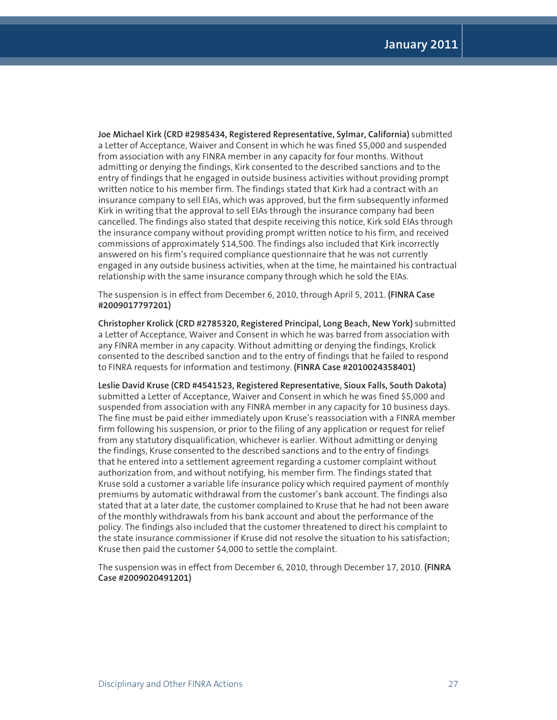**Joe Michael Kirk (CRD #2985434, Registered Representative, Sylmar, California)** submitted a Letter of Acceptance, Waiver and Consent in which he was fined \$5,000 and suspended from association with any FINRA member in any capacity for four months. Without admitting or denying the findings, Kirk consented to the described sanctions and to the entry of findings that he engaged in outside business activities without providing prompt written notice to his member firm. The findings stated that Kirk had a contract with an insurance company to sell EIAs, which was approved, but the firm subsequently informed Kirk in writing that the approval to sell EIAs through the insurance company had been cancelled. The findings also stated that despite receiving this notice, Kirk sold EIAs through the insurance company without providing prompt written notice to his firm, and received commissions of approximately \$14,500. The findings also included that Kirk incorrectly answered on his firm's required compliance questionnaire that he was not currently engaged in any outside business activities, when at the time, he maintained his contractual relationship with the same insurance company through which he sold the EIAs.

The suspension is in effect from December 6, 2010, through April 5, 2011. **(FINRA Case #2009017797201)** 

**Christopher Krolick (CRD #2785320, Registered Principal, Long Beach, New York)** submitted a Letter of Acceptance, Waiver and Consent in which he was barred from association with any FINRA member in any capacity. Without admitting or denying the findings, Krolick consented to the described sanction and to the entry of findings that he failed to respond to FINRA requests for information and testimony. **(FINRA Case #2010024358401)**

**Leslie David Kruse (CRD #4541523, Registered Representative, Sioux Falls, South Dakota)**  submitted a Letter of Acceptance, Waiver and Consent in which he was fined \$5,000 and suspended from association with any FINRA member in any capacity for 10 business days. The fine must be paid either immediately upon Kruse's reassociation with a FINRA member firm following his suspension, or prior to the filing of any application or request for relief from any statutory disqualification, whichever is earlier. Without admitting or denying the findings, Kruse consented to the described sanctions and to the entry of findings that he entered into a settlement agreement regarding a customer complaint without authorization from, and without notifying, his member firm. The findings stated that Kruse sold a customer a variable life insurance policy which required payment of monthly premiums by automatic withdrawal from the customer's bank account. The findings also stated that at a later date, the customer complained to Kruse that he had not been aware of the monthly withdrawals from his bank account and about the performance of the policy. The findings also included that the customer threatened to direct his complaint to the state insurance commissioner if Kruse did not resolve the situation to his satisfaction; Kruse then paid the customer \$4,000 to settle the complaint.

The suspension was in effect from December 6, 2010, through December 17, 2010. **(FINRA Case #2009020491201)**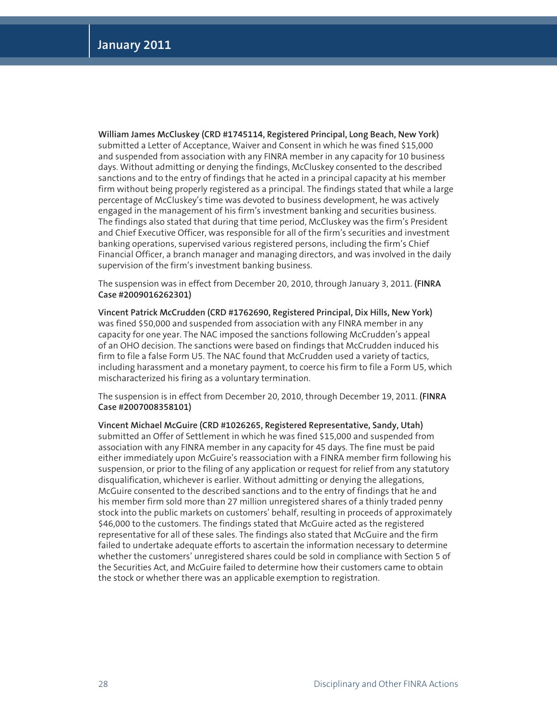**William James McCluskey (CRD #1745114, Registered Principal, Long Beach, New York)** submitted a Letter of Acceptance, Waiver and Consent in which he was fined \$15,000 and suspended from association with any FINRA member in any capacity for 10 business days. Without admitting or denying the findings, McCluskey consented to the described sanctions and to the entry of findings that he acted in a principal capacity at his member firm without being properly registered as a principal. The findings stated that while a large percentage of McCluskey's time was devoted to business development, he was actively engaged in the management of his firm's investment banking and securities business. The findings also stated that during that time period, McCluskey was the firm's President and Chief Executive Officer, was responsible for all of the firm's securities and investment banking operations, supervised various registered persons, including the firm's Chief Financial Officer, a branch manager and managing directors, and was involved in the daily supervision of the firm's investment banking business.

The suspension was in effect from December 20, 2010, through January 3, 2011. **(FINRA Case #2009016262301)**

**Vincent Patrick McCrudden (CRD #1762690, Registered Principal, Dix Hills, New York)**  was fined \$50,000 and suspended from association with any FINRA member in any capacity for one year. The NAC imposed the sanctions following McCrudden's appeal of an OHO decision. The sanctions were based on findings that McCrudden induced his firm to file a false Form U5. The NAC found that McCrudden used a variety of tactics, including harassment and a monetary payment, to coerce his firm to file a Form U5, which mischaracterized his firing as a voluntary termination.

The suspension is in effect from December 20, 2010, through December 19, 2011. **(FINRA Case #2007008358101)**

**Vincent Michael McGuire (CRD #1026265, Registered Representative, Sandy, Utah)**  submitted an Offer of Settlement in which he was fined \$15,000 and suspended from association with any FINRA member in any capacity for 45 days. The fine must be paid either immediately upon McGuire's reassociation with a FINRA member firm following his suspension, or prior to the filing of any application or request for relief from any statutory disqualification, whichever is earlier. Without admitting or denying the allegations, McGuire consented to the described sanctions and to the entry of findings that he and his member firm sold more than 27 million unregistered shares of a thinly traded penny stock into the public markets on customers' behalf, resulting in proceeds of approximately \$46,000 to the customers. The findings stated that McGuire acted as the registered representative for all of these sales. The findings also stated that McGuire and the firm failed to undertake adequate efforts to ascertain the information necessary to determine whether the customers' unregistered shares could be sold in compliance with Section 5 of the Securities Act, and McGuire failed to determine how their customers came to obtain the stock or whether there was an applicable exemption to registration.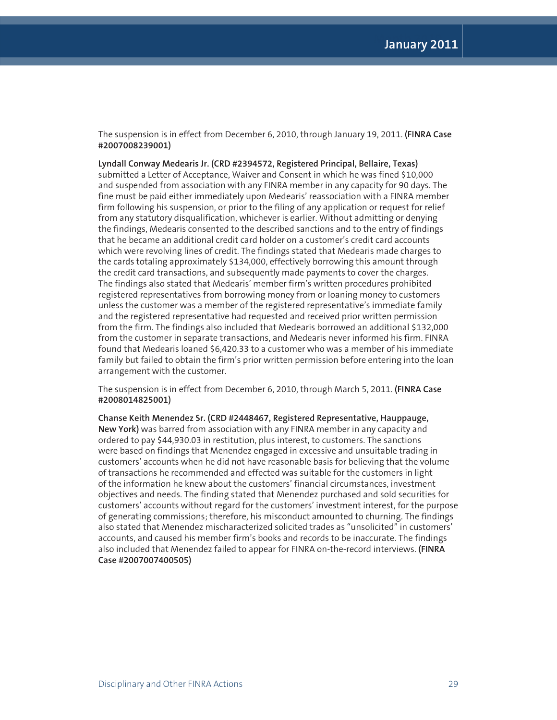The suspension is in effect from December 6, 2010, through January 19, 2011. **(FINRA Case #2007008239001)**

**Lyndall Conway Medearis Jr. (CRD #2394572, Registered Principal, Bellaire, Texas)** submitted a Letter of Acceptance, Waiver and Consent in which he was fined \$10,000 and suspended from association with any FINRA member in any capacity for 90 days. The fine must be paid either immediately upon Medearis' reassociation with a FINRA member firm following his suspension, or prior to the filing of any application or request for relief from any statutory disqualification, whichever is earlier. Without admitting or denying the findings, Medearis consented to the described sanctions and to the entry of findings that he became an additional credit card holder on a customer's credit card accounts which were revolving lines of credit. The findings stated that Medearis made charges to the cards totaling approximately \$134,000, effectively borrowing this amount through the credit card transactions, and subsequently made payments to cover the charges. The findings also stated that Medearis' member firm's written procedures prohibited registered representatives from borrowing money from or loaning money to customers unless the customer was a member of the registered representative's immediate family and the registered representative had requested and received prior written permission from the firm. The findings also included that Medearis borrowed an additional \$132,000 from the customer in separate transactions, and Medearis never informed his firm. FINRA found that Medearis loaned \$6,420.33 to a customer who was a member of his immediate family but failed to obtain the firm's prior written permission before entering into the loan arrangement with the customer.

The suspension is in effect from December 6, 2010, through March 5, 2011. **(FINRA Case #2008014825001)**

**Chanse Keith Menendez Sr. (CRD #2448467, Registered Representative, Hauppauge, New York)** was barred from association with any FINRA member in any capacity and ordered to pay \$44,930.03 in restitution, plus interest, to customers. The sanctions were based on findings that Menendez engaged in excessive and unsuitable trading in customers' accounts when he did not have reasonable basis for believing that the volume of transactions he recommended and effected was suitable for the customers in light of the information he knew about the customers' financial circumstances, investment objectives and needs. The finding stated that Menendez purchased and sold securities for customers' accounts without regard for the customers' investment interest, for the purpose of generating commissions; therefore, his misconduct amounted to churning. The findings also stated that Menendez mischaracterized solicited trades as "unsolicited" in customers' accounts, and caused his member firm's books and records to be inaccurate. The findings also included that Menendez failed to appear for FINRA on-the-record interviews. **(FINRA Case #2007007400505)**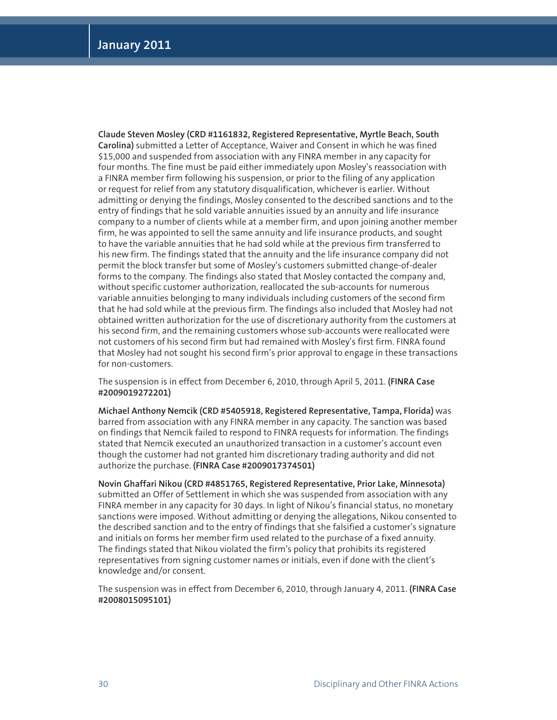**Claude Steven Mosley (CRD #1161832, Registered Representative, Myrtle Beach, South Carolina)** submitted a Letter of Acceptance, Waiver and Consent in which he was fined \$15,000 and suspended from association with any FINRA member in any capacity for four months. The fine must be paid either immediately upon Mosley's reassociation with a FINRA member firm following his suspension, or prior to the filing of any application or request for relief from any statutory disqualification, whichever is earlier. Without admitting or denying the findings, Mosley consented to the described sanctions and to the entry of findings that he sold variable annuities issued by an annuity and life insurance company to a number of clients while at a member firm, and upon joining another member firm, he was appointed to sell the same annuity and life insurance products, and sought to have the variable annuities that he had sold while at the previous firm transferred to his new firm. The findings stated that the annuity and the life insurance company did not permit the block transfer but some of Mosley's customers submitted change-of-dealer forms to the company. The findings also stated that Mosley contacted the company and, without specific customer authorization, reallocated the sub-accounts for numerous variable annuities belonging to many individuals including customers of the second firm that he had sold while at the previous firm. The findings also included that Mosley had not obtained written authorization for the use of discretionary authority from the customers at his second firm, and the remaining customers whose sub-accounts were reallocated were not customers of his second firm but had remained with Mosley's first firm. FINRA found that Mosley had not sought his second firm's prior approval to engage in these transactions for non-customers.

The suspension is in effect from December 6, 2010, through April 5, 2011. **(FINRA Case #2009019272201)**

**Michael Anthony Nemcik (CRD #5405918, Registered Representative, Tampa, Florida)** was barred from association with any FINRA member in any capacity. The sanction was based on findings that Nemcik failed to respond to FINRA requests for information. The findings stated that Nemcik executed an unauthorized transaction in a customer's account even though the customer had not granted him discretionary trading authority and did not authorize the purchase. **(FINRA Case #2009017374501)**

**Novin Ghaffari Nikou (CRD #4851765, Registered Representative, Prior Lake, Minnesota)**  submitted an Offer of Settlement in which she was suspended from association with any FINRA member in any capacity for 30 days. In light of Nikou's financial status, no monetary sanctions were imposed. Without admitting or denying the allegations, Nikou consented to the described sanction and to the entry of findings that she falsified a customer's signature and initials on forms her member firm used related to the purchase of a fixed annuity. The findings stated that Nikou violated the firm's policy that prohibits its registered representatives from signing customer names or initials, even if done with the client's knowledge and/or consent.

The suspension was in effect from December 6, 2010, through January 4, 2011. **(FINRA Case #2008015095101)**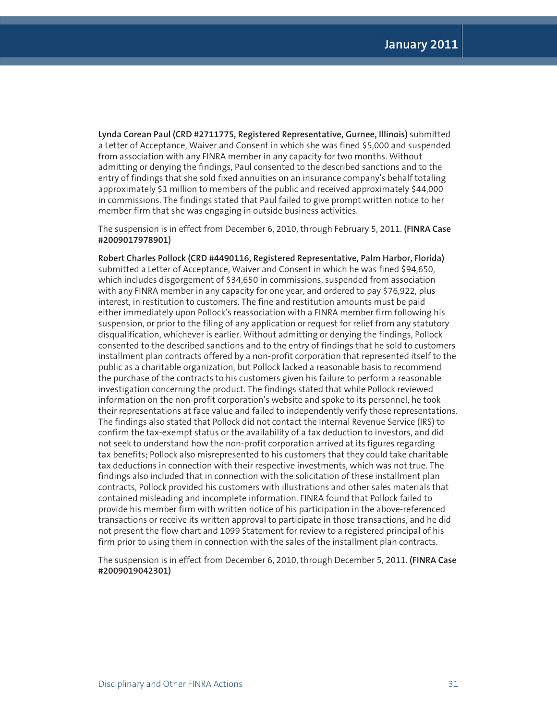**Lynda Corean Paul (CRD #2711775, Registered Representative, Gurnee, Illinois)** submitted a Letter of Acceptance, Waiver and Consent in which she was fined \$5,000 and suspended from association with any FINRA member in any capacity for two months. Without admitting or denying the findings, Paul consented to the described sanctions and to the entry of findings that she sold fixed annuities on an insurance company's behalf totaling approximately \$1 million to members of the public and received approximately \$44,000 in commissions. The findings stated that Paul failed to give prompt written notice to her member firm that she was engaging in outside business activities.

The suspension is in effect from December 6, 2010, through February 5, 2011. **(FINRA Case #2009017978901)**

**Robert Charles Pollock (CRD #4490116, Registered Representative, Palm Harbor, Florida)**  submitted a Letter of Acceptance, Waiver and Consent in which he was fined \$94,650, which includes disgorgement of \$34,650 in commissions, suspended from association with any FINRA member in any capacity for one year, and ordered to pay \$76,922, plus interest, in restitution to customers. The fine and restitution amounts must be paid either immediately upon Pollock's reassociation with a FINRA member firm following his suspension, or prior to the filing of any application or request for relief from any statutory disqualification, whichever is earlier. Without admitting or denying the findings, Pollock consented to the described sanctions and to the entry of findings that he sold to customers installment plan contracts offered by a non-profit corporation that represented itself to the public as a charitable organization, but Pollock lacked a reasonable basis to recommend the purchase of the contracts to his customers given his failure to perform a reasonable investigation concerning the product. The findings stated that while Pollock reviewed information on the non-profit corporation's website and spoke to its personnel, he took their representations at face value and failed to independently verify those representations. The findings also stated that Pollock did not contact the Internal Revenue Service (IRS) to confirm the tax-exempt status or the availability of a tax deduction to investors, and did not seek to understand how the non-profit corporation arrived at its figures regarding tax benefits; Pollock also misrepresented to his customers that they could take charitable tax deductions in connection with their respective investments, which was not true. The findings also included that in connection with the solicitation of these installment plan contracts, Pollock provided his customers with illustrations and other sales materials that contained misleading and incomplete information. FINRA found that Pollock failed to provide his member firm with written notice of his participation in the above-referenced transactions or receive its written approval to participate in those transactions, and he did not present the flow chart and 1099 Statement for review to a registered principal of his firm prior to using them in connection with the sales of the installment plan contracts.

The suspension is in effect from December 6, 2010, through December 5, 2011. **(FINRA Case #2009019042301)**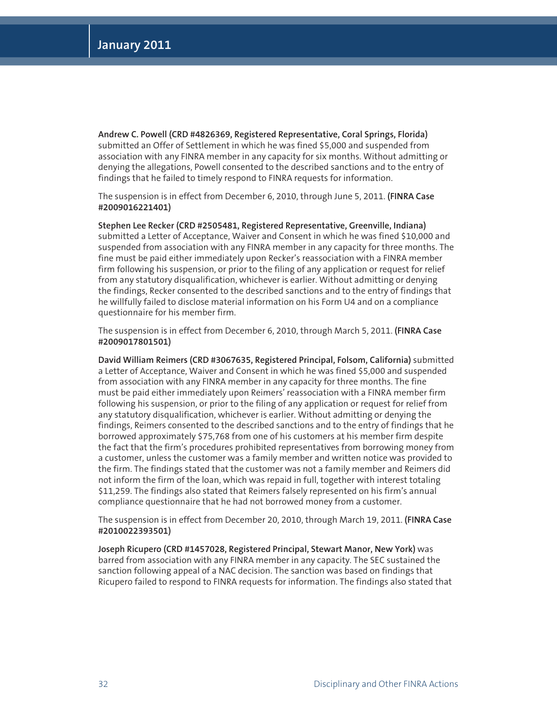**Andrew C. Powell (CRD #4826369, Registered Representative, Coral Springs, Florida)** submitted an Offer of Settlement in which he was fined \$5,000 and suspended from association with any FINRA member in any capacity for six months. Without admitting or denying the allegations, Powell consented to the described sanctions and to the entry of findings that he failed to timely respond to FINRA requests for information.

The suspension is in effect from December 6, 2010, through June 5, 2011. **(FINRA Case #2009016221401)**

**Stephen Lee Recker (CRD #2505481, Registered Representative, Greenville, Indiana)** submitted a Letter of Acceptance, Waiver and Consent in which he was fined \$10,000 and suspended from association with any FINRA member in any capacity for three months. The fine must be paid either immediately upon Recker's reassociation with a FINRA member firm following his suspension, or prior to the filing of any application or request for relief from any statutory disqualification, whichever is earlier. Without admitting or denying the findings, Recker consented to the described sanctions and to the entry of findings that he willfully failed to disclose material information on his Form U4 and on a compliance questionnaire for his member firm.

The suspension is in effect from December 6, 2010, through March 5, 2011. **(FINRA Case #2009017801501)**

**David William Reimers (CRD #3067635, Registered Principal, Folsom, California)** submitted a Letter of Acceptance, Waiver and Consent in which he was fined \$5,000 and suspended from association with any FINRA member in any capacity for three months. The fine must be paid either immediately upon Reimers' reassociation with a FINRA member firm following his suspension, or prior to the filing of any application or request for relief from any statutory disqualification, whichever is earlier. Without admitting or denying the findings, Reimers consented to the described sanctions and to the entry of findings that he borrowed approximately \$75,768 from one of his customers at his member firm despite the fact that the firm's procedures prohibited representatives from borrowing money from a customer, unless the customer was a family member and written notice was provided to the firm. The findings stated that the customer was not a family member and Reimers did not inform the firm of the loan, which was repaid in full, together with interest totaling \$11,259. The findings also stated that Reimers falsely represented on his firm's annual compliance questionnaire that he had not borrowed money from a customer.

The suspension is in effect from December 20, 2010, through March 19, 2011. **(FINRA Case #2010022393501)**

**Joseph Ricupero (CRD #1457028, Registered Principal, Stewart Manor, New York)** was barred from association with any FINRA member in any capacity. The SEC sustained the sanction following appeal of a NAC decision. The sanction was based on findings that Ricupero failed to respond to FINRA requests for information. The findings also stated that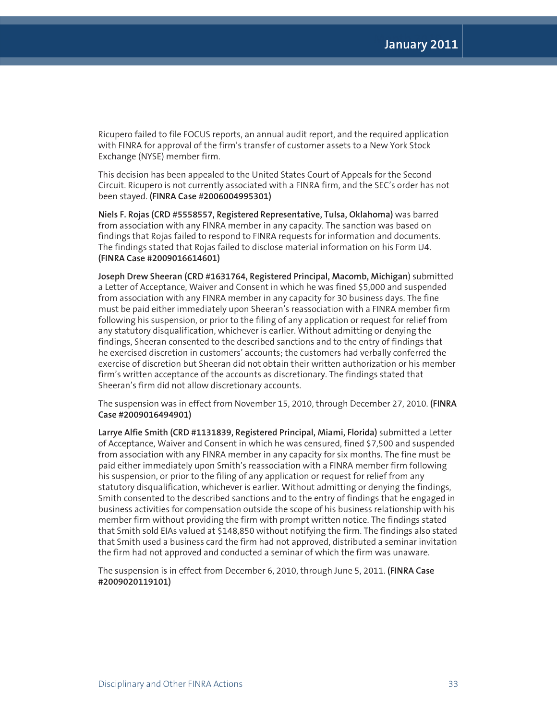Ricupero failed to file FOCUS reports, an annual audit report, and the required application with FINRA for approval of the firm's transfer of customer assets to a New York Stock Exchange (NYSE) member firm.

This decision has been appealed to the United States Court of Appeals for the Second Circuit. Ricupero is not currently associated with a FINRA firm, and the SEC's order has not been stayed. **(FINRA Case #2006004995301)**

**Niels F. Rojas (CRD #5558557, Registered Representative, Tulsa, Oklahoma)** was barred from association with any FINRA member in any capacity. The sanction was based on findings that Rojas failed to respond to FINRA requests for information and documents. The findings stated that Rojas failed to disclose material information on his Form U4. **(FINRA Case #2009016614601)**

**Joseph Drew Sheeran (CRD #1631764, Registered Principal, Macomb, Michigan**) submitted a Letter of Acceptance, Waiver and Consent in which he was fined \$5,000 and suspended from association with any FINRA member in any capacity for 30 business days. The fine must be paid either immediately upon Sheeran's reassociation with a FINRA member firm following his suspension, or prior to the filing of any application or request for relief from any statutory disqualification, whichever is earlier. Without admitting or denying the findings, Sheeran consented to the described sanctions and to the entry of findings that he exercised discretion in customers' accounts; the customers had verbally conferred the exercise of discretion but Sheeran did not obtain their written authorization or his member firm's written acceptance of the accounts as discretionary. The findings stated that Sheeran's firm did not allow discretionary accounts.

The suspension was in effect from November 15, 2010, through December 27, 2010. **(FINRA Case #2009016494901)**

**Larrye Alfie Smith (CRD #1131839, Registered Principal, Miami, Florida)** submitted a Letter of Acceptance, Waiver and Consent in which he was censured, fined \$7,500 and suspended from association with any FINRA member in any capacity for six months. The fine must be paid either immediately upon Smith's reassociation with a FINRA member firm following his suspension, or prior to the filing of any application or request for relief from any statutory disqualification, whichever is earlier. Without admitting or denying the findings, Smith consented to the described sanctions and to the entry of findings that he engaged in business activities for compensation outside the scope of his business relationship with his member firm without providing the firm with prompt written notice. The findings stated that Smith sold EIAs valued at \$148,850 without notifying the firm. The findings also stated that Smith used a business card the firm had not approved, distributed a seminar invitation the firm had not approved and conducted a seminar of which the firm was unaware.

The suspension is in effect from December 6, 2010, through June 5, 2011. **(FINRA Case #2009020119101)**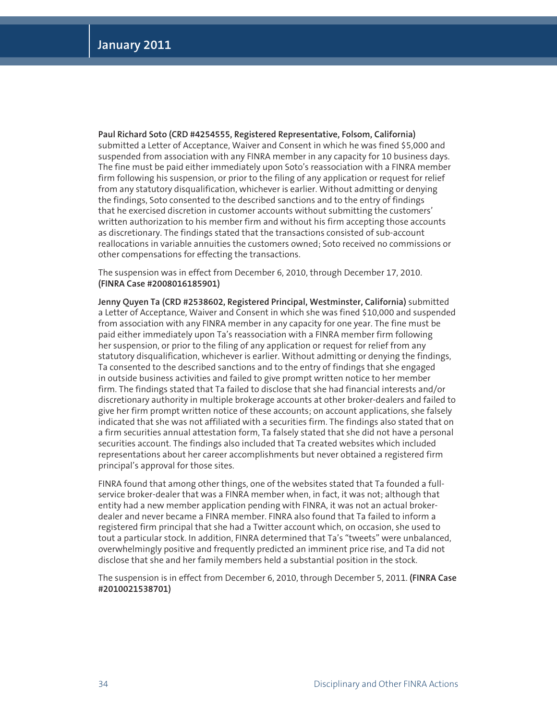**Paul Richard Soto (CRD #4254555, Registered Representative, Folsom, California)** submitted a Letter of Acceptance, Waiver and Consent in which he was fined \$5,000 and suspended from association with any FINRA member in any capacity for 10 business days. The fine must be paid either immediately upon Soto's reassociation with a FINRA member firm following his suspension, or prior to the filing of any application or request for relief from any statutory disqualification, whichever is earlier. Without admitting or denying the findings, Soto consented to the described sanctions and to the entry of findings that he exercised discretion in customer accounts without submitting the customers' written authorization to his member firm and without his firm accepting those accounts as discretionary. The findings stated that the transactions consisted of sub-account reallocations in variable annuities the customers owned; Soto received no commissions or other compensations for effecting the transactions.

The suspension was in effect from December 6, 2010, through December 17, 2010. **(FINRA Case #2008016185901)**

**Jenny Quyen Ta (CRD #2538602, Registered Principal, Westminster, California)** submitted a Letter of Acceptance, Waiver and Consent in which she was fined \$10,000 and suspended from association with any FINRA member in any capacity for one year. The fine must be paid either immediately upon Ta's reassociation with a FINRA member firm following her suspension, or prior to the filing of any application or request for relief from any statutory disqualification, whichever is earlier. Without admitting or denying the findings, Ta consented to the described sanctions and to the entry of findings that she engaged in outside business activities and failed to give prompt written notice to her member firm. The findings stated that Ta failed to disclose that she had financial interests and/or discretionary authority in multiple brokerage accounts at other broker-dealers and failed to give her firm prompt written notice of these accounts; on account applications, she falsely indicated that she was not affiliated with a securities firm. The findings also stated that on a firm securities annual attestation form, Ta falsely stated that she did not have a personal securities account. The findings also included that Ta created websites which included representations about her career accomplishments but never obtained a registered firm principal's approval for those sites.

FINRA found that among other things, one of the websites stated that Ta founded a fullservice broker-dealer that was a FINRA member when, in fact, it was not; although that entity had a new member application pending with FINRA, it was not an actual brokerdealer and never became a FINRA member. FINRA also found that Ta failed to inform a registered firm principal that she had a Twitter account which, on occasion, she used to tout a particular stock. In addition, FINRA determined that Ta's "tweets" were unbalanced, overwhelmingly positive and frequently predicted an imminent price rise, and Ta did not disclose that she and her family members held a substantial position in the stock.

The suspension is in effect from December 6, 2010, through December 5, 2011. **(FINRA Case #2010021538701)**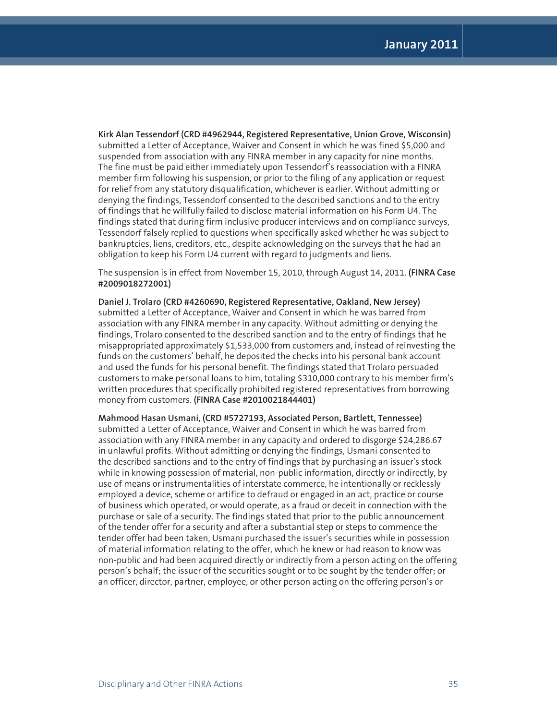**Kirk Alan Tessendorf (CRD #4962944, Registered Representative, Union Grove, Wisconsin)** submitted a Letter of Acceptance, Waiver and Consent in which he was fined \$5,000 and suspended from association with any FINRA member in any capacity for nine months. The fine must be paid either immediately upon Tessendorf's reassociation with a FINRA member firm following his suspension, or prior to the filing of any application or request for relief from any statutory disqualification, whichever is earlier. Without admitting or denying the findings, Tessendorf consented to the described sanctions and to the entry of findings that he willfully failed to disclose material information on his Form U4. The findings stated that during firm inclusive producer interviews and on compliance surveys, Tessendorf falsely replied to questions when specifically asked whether he was subject to bankruptcies, liens, creditors, etc., despite acknowledging on the surveys that he had an obligation to keep his Form U4 current with regard to judgments and liens.

The suspension is in effect from November 15, 2010, through August 14, 2011. **(FINRA Case #2009018272001)**

**Daniel J. Trolaro (CRD #4260690, Registered Representative, Oakland, New Jersey)** submitted a Letter of Acceptance, Waiver and Consent in which he was barred from association with any FINRA member in any capacity. Without admitting or denying the findings, Trolaro consented to the described sanction and to the entry of findings that he misappropriated approximately \$1,533,000 from customers and, instead of reinvesting the funds on the customers' behalf, he deposited the checks into his personal bank account and used the funds for his personal benefit. The findings stated that Trolaro persuaded customers to make personal loans to him, totaling \$310,000 contrary to his member firm's written procedures that specifically prohibited registered representatives from borrowing money from customers. **(FINRA Case #2010021844401)**

**Mahmood Hasan Usmani, (CRD #5727193, Associated Person, Bartlett, Tennessee)** submitted a Letter of Acceptance, Waiver and Consent in which he was barred from association with any FINRA member in any capacity and ordered to disgorge \$24,286.67 in unlawful profits. Without admitting or denying the findings, Usmani consented to the described sanctions and to the entry of findings that by purchasing an issuer's stock while in knowing possession of material, non-public information, directly or indirectly, by use of means or instrumentalities of interstate commerce, he intentionally or recklessly employed a device, scheme or artifice to defraud or engaged in an act, practice or course of business which operated, or would operate, as a fraud or deceit in connection with the purchase or sale of a security. The findings stated that prior to the public announcement of the tender offer for a security and after a substantial step or steps to commence the tender offer had been taken, Usmani purchased the issuer's securities while in possession of material information relating to the offer, which he knew or had reason to know was non-public and had been acquired directly or indirectly from a person acting on the offering person's behalf; the issuer of the securities sought or to be sought by the tender offer; or an officer, director, partner, employee, or other person acting on the offering person's or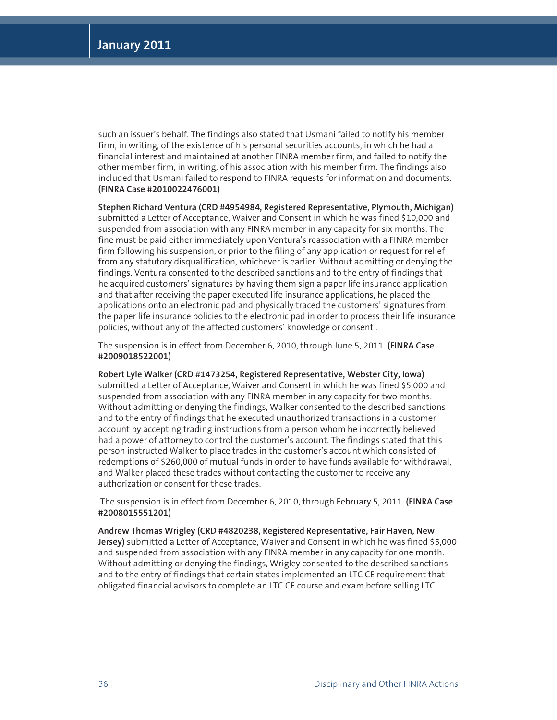such an issuer's behalf. The findings also stated that Usmani failed to notify his member firm, in writing, of the existence of his personal securities accounts, in which he had a financial interest and maintained at another FINRA member firm, and failed to notify the other member firm, in writing, of his association with his member firm. The findings also included that Usmani failed to respond to FINRA requests for information and documents. **(FINRA Case #2010022476001)**

**Stephen Richard Ventura (CRD #4954984, Registered Representative, Plymouth, Michigan)** submitted a Letter of Acceptance, Waiver and Consent in which he was fined \$10,000 and suspended from association with any FINRA member in any capacity for six months. The fine must be paid either immediately upon Ventura's reassociation with a FINRA member firm following his suspension, or prior to the filing of any application or request for relief from any statutory disqualification, whichever is earlier. Without admitting or denying the findings, Ventura consented to the described sanctions and to the entry of findings that he acquired customers' signatures by having them sign a paper life insurance application, and that after receiving the paper executed life insurance applications, he placed the applications onto an electronic pad and physically traced the customers' signatures from the paper life insurance policies to the electronic pad in order to process their life insurance policies, without any of the affected customers' knowledge or consent .

The suspension is in effect from December 6, 2010, through June 5, 2011. **(FINRA Case #2009018522001)**

**Robert Lyle Walker (CRD #1473254, Registered Representative, Webster City, Iowa)**  submitted a Letter of Acceptance, Waiver and Consent in which he was fined \$5,000 and suspended from association with any FINRA member in any capacity for two months. Without admitting or denying the findings, Walker consented to the described sanctions and to the entry of findings that he executed unauthorized transactions in a customer account by accepting trading instructions from a person whom he incorrectly believed had a power of attorney to control the customer's account. The findings stated that this person instructed Walker to place trades in the customer's account which consisted of redemptions of \$260,000 of mutual funds in order to have funds available for withdrawal, and Walker placed these trades without contacting the customer to receive any authorization or consent for these trades.

 The suspension is in effect from December 6, 2010, through February 5, 2011. **(FINRA Case #2008015551201)** 

**Andrew Thomas Wrigley (CRD #4820238, Registered Representative, Fair Haven, New Jersey)** submitted a Letter of Acceptance, Waiver and Consent in which he was fined \$5,000 and suspended from association with any FINRA member in any capacity for one month. Without admitting or denying the findings, Wrigley consented to the described sanctions and to the entry of findings that certain states implemented an LTC CE requirement that obligated financial advisors to complete an LTC CE course and exam before selling LTC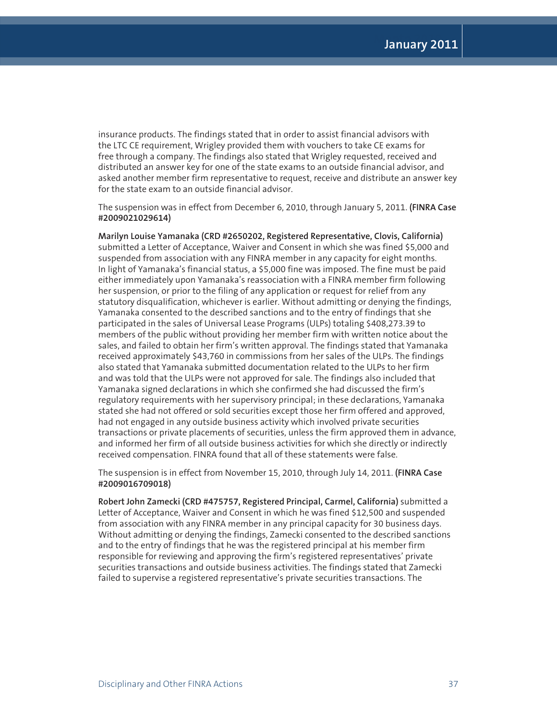insurance products. The findings stated that in order to assist financial advisors with the LTC CE requirement, Wrigley provided them with vouchers to take CE exams for free through a company. The findings also stated that Wrigley requested, received and distributed an answer key for one of the state exams to an outside financial advisor, and asked another member firm representative to request, receive and distribute an answer key for the state exam to an outside financial advisor.

The suspension was in effect from December 6, 2010, through January 5, 2011. **(FINRA Case #2009021029614)**

**Marilyn Louise Yamanaka (CRD #2650202, Registered Representative, Clovis, California)** submitted a Letter of Acceptance, Waiver and Consent in which she was fined \$5,000 and suspended from association with any FINRA member in any capacity for eight months. In light of Yamanaka's financial status, a \$5,000 fine was imposed. The fine must be paid either immediately upon Yamanaka's reassociation with a FINRA member firm following her suspension, or prior to the filing of any application or request for relief from any statutory disqualification, whichever is earlier. Without admitting or denying the findings, Yamanaka consented to the described sanctions and to the entry of findings that she participated in the sales of Universal Lease Programs (ULPs) totaling \$408,273.39 to members of the public without providing her member firm with written notice about the sales, and failed to obtain her firm's written approval. The findings stated that Yamanaka received approximately \$43,760 in commissions from her sales of the ULPs. The findings also stated that Yamanaka submitted documentation related to the ULPs to her firm and was told that the ULPs were not approved for sale. The findings also included that Yamanaka signed declarations in which she confirmed she had discussed the firm's regulatory requirements with her supervisory principal; in these declarations, Yamanaka stated she had not offered or sold securities except those her firm offered and approved, had not engaged in any outside business activity which involved private securities transactions or private placements of securities, unless the firm approved them in advance, and informed her firm of all outside business activities for which she directly or indirectly received compensation. FINRA found that all of these statements were false.

The suspension is in effect from November 15, 2010, through July 14, 2011. **(FINRA Case #2009016709018)**

**Robert John Zamecki (CRD #475757, Registered Principal, Carmel, California)** submitted a Letter of Acceptance, Waiver and Consent in which he was fined \$12,500 and suspended from association with any FINRA member in any principal capacity for 30 business days. Without admitting or denying the findings, Zamecki consented to the described sanctions and to the entry of findings that he was the registered principal at his member firm responsible for reviewing and approving the firm's registered representatives' private securities transactions and outside business activities. The findings stated that Zamecki failed to supervise a registered representative's private securities transactions. The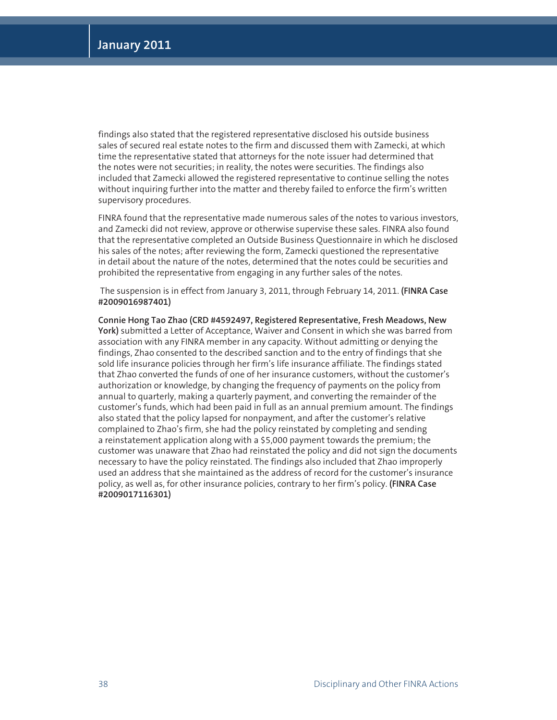findings also stated that the registered representative disclosed his outside business sales of secured real estate notes to the firm and discussed them with Zamecki, at which time the representative stated that attorneys for the note issuer had determined that the notes were not securities; in reality, the notes were securities. The findings also included that Zamecki allowed the registered representative to continue selling the notes without inquiring further into the matter and thereby failed to enforce the firm's written supervisory procedures.

FINRA found that the representative made numerous sales of the notes to various investors, and Zamecki did not review, approve or otherwise supervise these sales. FINRA also found that the representative completed an Outside Business Questionnaire in which he disclosed his sales of the notes; after reviewing the form, Zamecki questioned the representative in detail about the nature of the notes, determined that the notes could be securities and prohibited the representative from engaging in any further sales of the notes.

 The suspension is in effect from January 3, 2011, through February 14, 2011. **(FINRA Case #2009016987401)** 

**Connie Hong Tao Zhao (CRD #4592497, Registered Representative, Fresh Meadows, New York)** submitted a Letter of Acceptance, Waiver and Consent in which she was barred from association with any FINRA member in any capacity. Without admitting or denying the findings, Zhao consented to the described sanction and to the entry of findings that she sold life insurance policies through her firm's life insurance affiliate. The findings stated that Zhao converted the funds of one of her insurance customers, without the customer's authorization or knowledge, by changing the frequency of payments on the policy from annual to quarterly, making a quarterly payment, and converting the remainder of the customer's funds, which had been paid in full as an annual premium amount. The findings also stated that the policy lapsed for nonpayment, and after the customer's relative complained to Zhao's firm, she had the policy reinstated by completing and sending a reinstatement application along with a \$5,000 payment towards the premium; the customer was unaware that Zhao had reinstated the policy and did not sign the documents necessary to have the policy reinstated. The findings also included that Zhao improperly used an address that she maintained as the address of record for the customer's insurance policy, as well as, for other insurance policies, contrary to her firm's policy. **(FINRA Case #2009017116301)**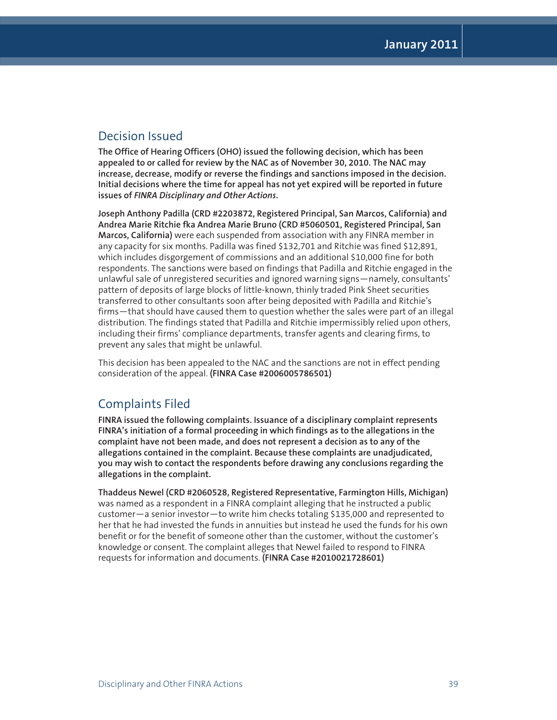#### Decision Issued

**The Office of Hearing Officers (OHO) issued the following decision, which has been appealed to or called for review by the NAC as of November 30, 2010. The NAC may increase, decrease, modify or reverse the findings and sanctions imposed in the decision. Initial decisions where the time for appeal has not yet expired will be reported in future issues of** *FINRA Disciplinary and Other Actions***.**

**Joseph Anthony Padilla (CRD #2203872, Registered Principal, San Marcos, California) and Andrea Marie Ritchie fka Andrea Marie Bruno (CRD #5060501, Registered Principal, San Marcos, California)** were each suspended from association with any FINRA member in any capacity for six months. Padilla was fined \$132,701 and Ritchie was fined \$12,891, which includes disgorgement of commissions and an additional \$10,000 fine for both respondents. The sanctions were based on findings that Padilla and Ritchie engaged in the unlawful sale of unregistered securities and ignored warning signs—namely, consultants' pattern of deposits of large blocks of little-known, thinly traded Pink Sheet securities transferred to other consultants soon after being deposited with Padilla and Ritchie's firms—that should have caused them to question whether the sales were part of an illegal distribution. The findings stated that Padilla and Ritchie impermissibly relied upon others, including their firms' compliance departments, transfer agents and clearing firms, to prevent any sales that might be unlawful.

This decision has been appealed to the NAC and the sanctions are not in effect pending consideration of the appeal. **(FINRA Case #2006005786501)**

### Complaints Filed

**FINRA issued the following complaints. Issuance of a disciplinary complaint represents FINRA's initiation of a formal proceeding in which findings as to the allegations in the complaint have not been made, and does not represent a decision as to any of the allegations contained in the complaint. Because these complaints are unadjudicated, you may wish to contact the respondents before drawing any conclusions regarding the allegations in the complaint.**

**Thaddeus Newel (CRD #2060528, Registered Representative, Farmington Hills, Michigan)**  was named as a respondent in a FINRA complaint alleging that he instructed a public customer—a senior investor—to write him checks totaling \$135,000 and represented to her that he had invested the funds in annuities but instead he used the funds for his own benefit or for the benefit of someone other than the customer, without the customer's knowledge or consent. The complaint alleges that Newel failed to respond to FINRA requests for information and documents. **(FINRA Case #2010021728601)**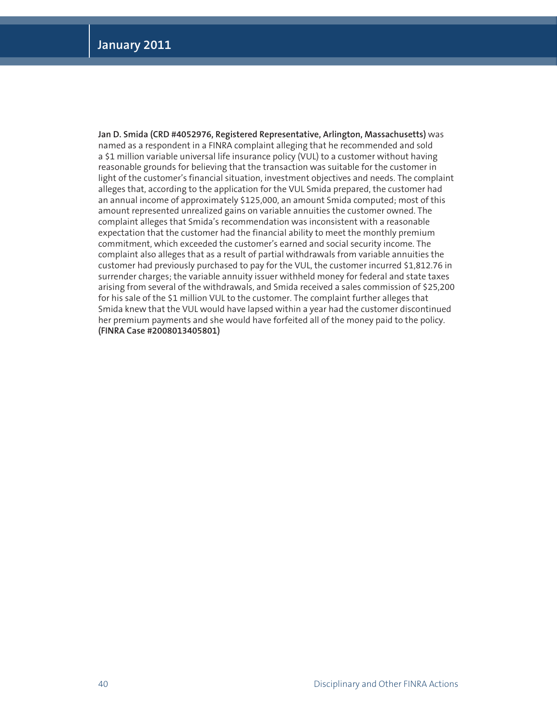**Jan D. Smida (CRD #4052976, Registered Representative, Arlington, Massachusetts)** was named as a respondent in a FINRA complaint alleging that he recommended and sold a \$1 million variable universal life insurance policy (VUL) to a customer without having reasonable grounds for believing that the transaction was suitable for the customer in light of the customer's financial situation, investment objectives and needs. The complaint alleges that, according to the application for the VUL Smida prepared, the customer had an annual income of approximately \$125,000, an amount Smida computed; most of this amount represented unrealized gains on variable annuities the customer owned. The complaint alleges that Smida's recommendation was inconsistent with a reasonable expectation that the customer had the financial ability to meet the monthly premium commitment, which exceeded the customer's earned and social security income. The complaint also alleges that as a result of partial withdrawals from variable annuities the customer had previously purchased to pay for the VUL, the customer incurred \$1,812.76 in surrender charges; the variable annuity issuer withheld money for federal and state taxes arising from several of the withdrawals, and Smida received a sales commission of \$25,200 for his sale of the \$1 million VUL to the customer. The complaint further alleges that Smida knew that the VUL would have lapsed within a year had the customer discontinued her premium payments and she would have forfeited all of the money paid to the policy. **(FINRA Case #2008013405801)**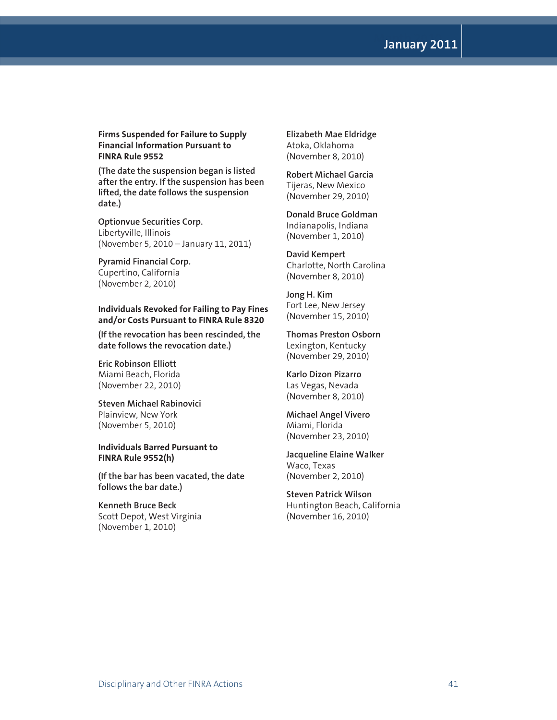**Month 2010 January 2011**

**Firms Suspended for Failure to Supply Financial Information Pursuant to FINRA Rule 9552**

**(The date the suspension began is listed after the entry. If the suspension has been lifted, the date follows the suspension date.)**

**Optionvue Securities Corp.** Libertyville, Illinois (November 5, 2010 – January 11, 2011)

**Pyramid Financial Corp.** Cupertino, California (November 2, 2010)

#### **Individuals Revoked for Failing to Pay Fines and/or Costs Pursuant to FINRA Rule 8320**

**(If the revocation has been rescinded, the date follows the revocation date.)**

**Eric Robinson Elliott** Miami Beach, Florida (November 22, 2010)

**Steven Michael Rabinovici** Plainview, New York (November 5, 2010)

#### **Individuals Barred Pursuant to FINRA Rule 9552(h)**

**(If the bar has been vacated, the date follows the bar date.)**

**Kenneth Bruce Beck** Scott Depot, West Virginia (November 1, 2010)

**Elizabeth Mae Eldridge** Atoka, Oklahoma (November 8, 2010)

#### **Robert Michael Garcia** Tijeras, New Mexico (November 29, 2010)

**Donald Bruce Goldman** Indianapolis, Indiana (November 1, 2010)

**David Kempert** Charlotte, North Carolina (November 8, 2010)

**Jong H. Kim** Fort Lee, New Jersey (November 15, 2010)

**Thomas Preston Osborn** Lexington, Kentucky (November 29, 2010)

**Karlo Dizon Pizarro** Las Vegas, Nevada (November 8, 2010)

**Michael Angel Vivero** Miami, Florida (November 23, 2010)

**Jacqueline Elaine Walker** Waco, Texas (November 2, 2010)

**Steven Patrick Wilson** Huntington Beach, California (November 16, 2010)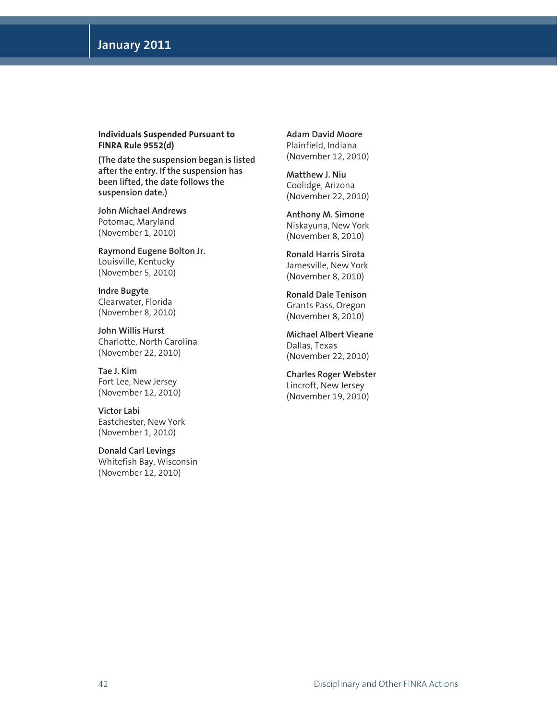**Individuals Suspended Pursuant to FINRA Rule 9552(d)** 

**(The date the suspension began is listed after the entry. If the suspension has been lifted, the date follows the suspension date.)**

**John Michael Andrews** Potomac, Maryland (November 1, 2010)

**Raymond Eugene Bolton Jr.** Louisville, Kentucky (November 5, 2010)

**Indre Bugyte** Clearwater, Florida (November 8, 2010)

**John Willis Hurst** Charlotte, North Carolina (November 22, 2010)

**Tae J. Kim** Fort Lee, New Jersey (November 12, 2010)

**Victor Labi** Eastchester, New York (November 1, 2010)

**Donald Carl Levings** Whitefish Bay, Wisconsin (November 12, 2010)

**Adam David Moore** Plainfield, Indiana (November 12, 2010)

**Matthew J. Niu** Coolidge, Arizona (November 22, 2010)

**Anthony M. Simone** Niskayuna, New York (November 8, 2010)

**Ronald Harris Sirota** Jamesville, New York (November 8, 2010)

**Ronald Dale Tenison** Grants Pass, Oregon (November 8, 2010)

**Michael Albert Vieane** Dallas, Texas (November 22, 2010)

**Charles Roger Webster** Lincroft, New Jersey (November 19, 2010)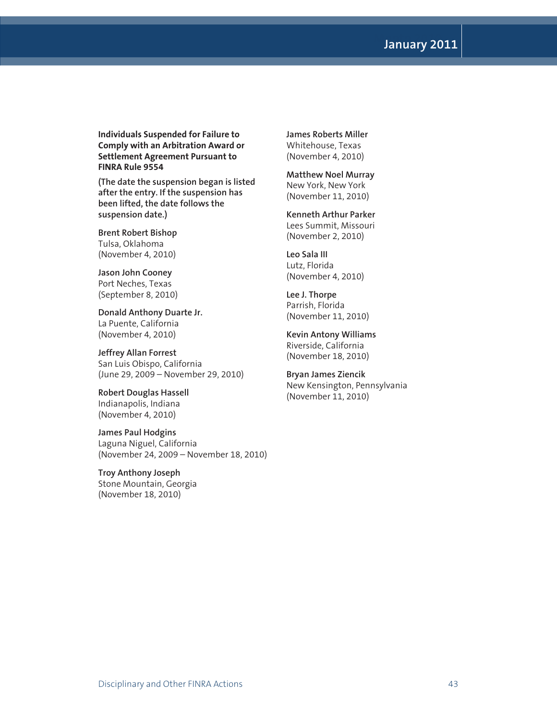# **Month 2010 January 2011**

**Individuals Suspended for Failure to Comply with an Arbitration Award or Settlement Agreement Pursuant to FINRA Rule 9554**

**(The date the suspension began is listed after the entry. If the suspension has been lifted, the date follows the suspension date.)**

**Brent Robert Bishop** Tulsa, Oklahoma (November 4, 2010)

**Jason John Cooney** Port Neches, Texas (September 8, 2010)

**Donald Anthony Duarte Jr.** La Puente, California (November 4, 2010)

**Jeffrey Allan Forrest** San Luis Obispo, California (June 29, 2009 – November 29, 2010)

**Robert Douglas Hassell** Indianapolis, Indiana (November 4, 2010)

**James Paul Hodgins** Laguna Niguel, California (November 24, 2009 – November 18, 2010)

**Troy Anthony Joseph** Stone Mountain, Georgia (November 18, 2010)

**James Roberts Miller** Whitehouse, Texas (November 4, 2010)

#### **Matthew Noel Murray**

New York, New York (November 11, 2010)

**Kenneth Arthur Parker** Lees Summit, Missouri

(November 2, 2010) **Leo Sala III**

Lutz, Florida (November 4, 2010)

**Lee J. Thorpe** Parrish, Florida (November 11, 2010)

**Kevin Antony Williams** Riverside, California (November 18, 2010)

**Bryan James Ziencik** New Kensington, Pennsylvania (November 11, 2010)